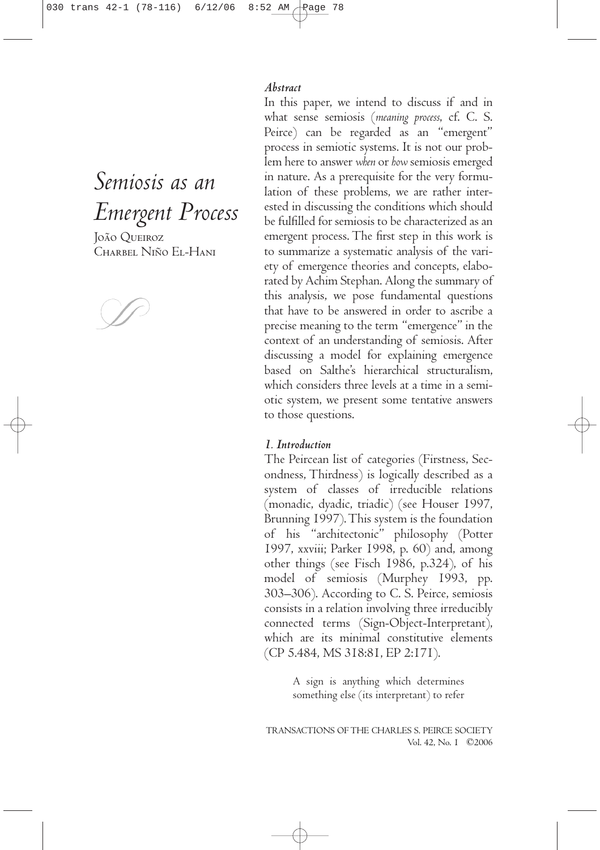# *Abstract*

*Semiosis as an Emergent Process*

João Queiroz Charbel Niño El-Hani

In this paper, we intend to discuss if and in what sense semiosis (*meaning process*, cf. C. S. Peirce) can be regarded as an "emergent" process in semiotic systems. It is not our problem here to answer *when* or *how* semiosis emerged in nature. As a prerequisite for the very formulation of these problems, we are rather interested in discussing the conditions which should be fulfilled for semiosis to be characterized as an emergent process. The first step in this work is to summarize a systematic analysis of the variety of emergence theories and concepts, elaborated by Achim Stephan. Along the summary of this analysis, we pose fundamental questions that have to be answered in order to ascribe a precise meaning to the term "emergence" in the context of an understanding of semiosis. After discussing a model for explaining emergence based on Salthe's hierarchical structuralism, which considers three levels at a time in a semiotic system, we present some tentative answers to those questions.

## *1. Introduction*

The Peircean list of categories (Firstness, Secondness, Thirdness) is logically described as a system of classes of irreducible relations (monadic, dyadic, triadic) (see Houser 1997, Brunning 1997). This system is the foundation of his "architectonic" philosophy (Potter 1997, xxviii; Parker 1998, p. 60) and, among other things (see Fisch 1986, p.324), of his model of semiosis (Murphey 1993, pp. 303–306). According to C. S. Peirce, semiosis consists in a relation involving three irreducibly connected terms (Sign-Object-Interpretant), which are its minimal constitutive elements (CP 5.484, MS 318:81, EP 2:171).

> A sign is anything which determines something else (its interpretant) to refer

TRANSACTIONS OF THE CHARLES S. PEIRCE SOCIETY Vol. 42, No. 1 ©2006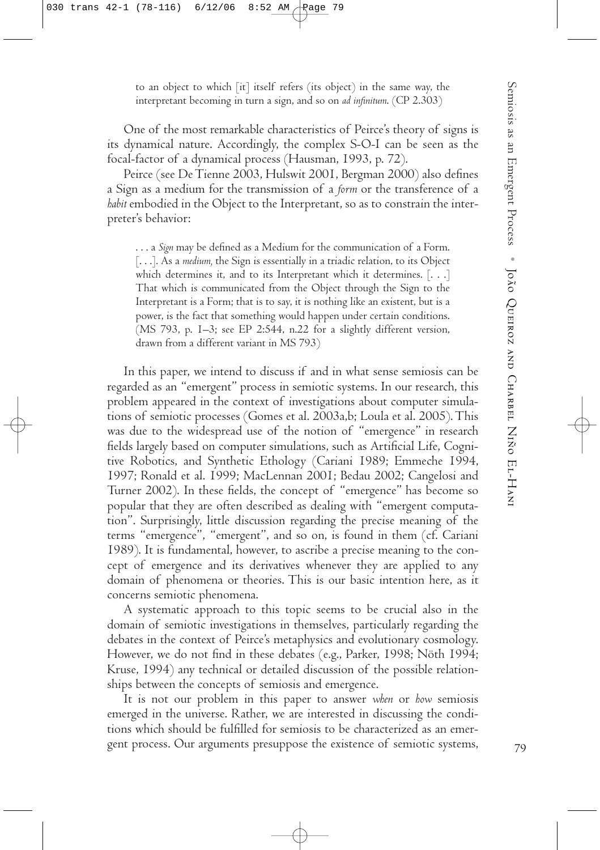to an object to which [it] itself refers (its object) in the same way, the interpretant becoming in turn a sign, and so on *ad infinitum*. (CP 2.303)

One of the most remarkable characteristics of Peirce's theory of signs is its dynamical nature. Accordingly, the complex S-O-I can be seen as the focal-factor of a dynamical process (Hausman, 1993, p. 72).

Peirce (see De Tienne 2003, Hulswit 2001, Bergman 2000) also defines a Sign as a medium for the transmission of a *form* or the transference of a *habit* embodied in the Object to the Interpretant, so as to constrain the interpreter's behavior:

. . . a *Sign* may be defined as a Medium for the communication of a Form. [...]. As a *medium*, the Sign is essentially in a triadic relation, to its Object which determines it, and to its Interpretant which it determines. [. . .] That which is communicated from the Object through the Sign to the Interpretant is a Form; that is to say, it is nothing like an existent, but is a power, is the fact that something would happen under certain conditions. (MS 793, p. 1–3; see EP 2:544, n.22 for a slightly different version, drawn from a different variant in MS 793)

In this paper, we intend to discuss if and in what sense semiosis can be regarded as an "emergent" process in semiotic systems. In our research, this problem appeared in the context of investigations about computer simulations of semiotic processes (Gomes et al. 2003a,b; Loula et al. 2005). This was due to the widespread use of the notion of "emergence" in research fields largely based on computer simulations, such as Artificial Life, Cognitive Robotics, and Synthetic Ethology (Cariani 1989; Emmeche 1994, 1997; Ronald et al. 1999; MacLennan 2001; Bedau 2002; Cangelosi and Turner 2002). In these fields, the concept of "emergence" has become so popular that they are often described as dealing with "emergent computation". Surprisingly, little discussion regarding the precise meaning of the terms "emergence", "emergent", and so on, is found in them (cf. Cariani 1989). It is fundamental, however, to ascribe a precise meaning to the concept of emergence and its derivatives whenever they are applied to any domain of phenomena or theories. This is our basic intention here, as it concerns semiotic phenomena.

A systematic approach to this topic seems to be crucial also in the domain of semiotic investigations in themselves, particularly regarding the debates in the context of Peirce's metaphysics and evolutionary cosmology. However, we do not find in these debates (e.g., Parker, 1998; Nöth 1994; Kruse, 1994) any technical or detailed discussion of the possible relationships between the concepts of semiosis and emergence.

It is not our problem in this paper to answer *when* or *how* semiosis emerged in the universe. Rather, we are interested in discussing the conditions which should be fulfilled for semiosis to be characterized as an emergent process. Our arguments presuppose the existence of semiotic systems,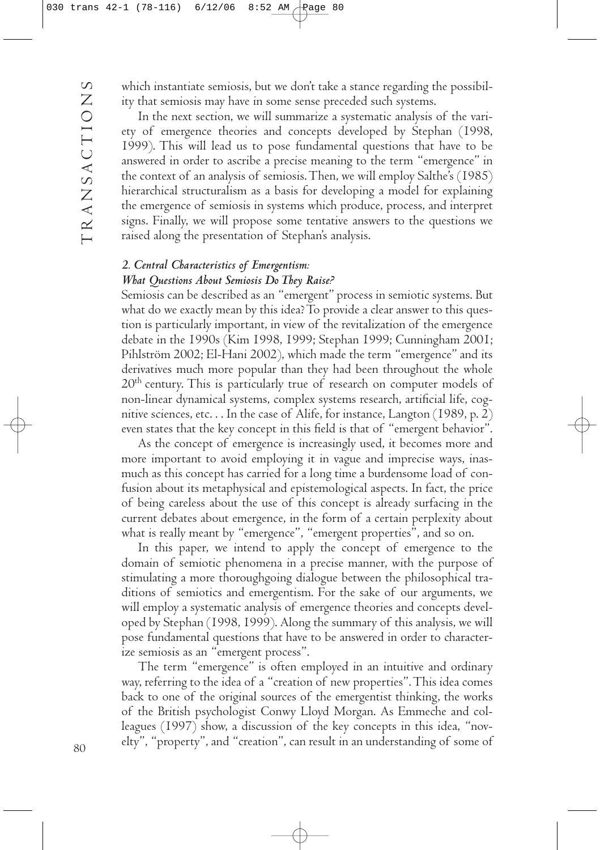which instantiate semiosis, but we don't take a stance regarding the possibility that semiosis may have in some sense preceded such systems.

In the next section, we will summarize a systematic analysis of the variety of emergence theories and concepts developed by Stephan (1998, 1999). This will lead us to pose fundamental questions that have to be answered in order to ascribe a precise meaning to the term "emergence" in the context of an analysis of semiosis. Then, we will employ Salthe's (1985) hierarchical structuralism as a basis for developing a model for explaining the emergence of semiosis in systems which produce, process, and interpret signs. Finally, we will propose some tentative answers to the questions we raised along the presentation of Stephan's analysis.

## *2. Central Characteristics of Emergentism:*

## *What Questions About Semiosis Do They Raise?*

Semiosis can be described as an "emergent" process in semiotic systems. But what do we exactly mean by this idea? To provide a clear answer to this question is particularly important, in view of the revitalization of the emergence debate in the 1990s (Kim 1998, 1999; Stephan 1999; Cunningham 2001; Pihlström 2002; El-Hani 2002), which made the term "emergence" and its derivatives much more popular than they had been throughout the whole  $20<sup>th</sup>$  century. This is particularly true of research on computer models of non-linear dynamical systems, complex systems research, artificial life, cognitive sciences, etc. . . In the case of Alife, for instance, Langton (1989, p. 2) even states that the key concept in this field is that of "emergent behavior".

As the concept of emergence is increasingly used, it becomes more and more important to avoid employing it in vague and imprecise ways, inasmuch as this concept has carried for a long time a burdensome load of confusion about its metaphysical and epistemological aspects. In fact, the price of being careless about the use of this concept is already surfacing in the current debates about emergence, in the form of a certain perplexity about what is really meant by "emergence", "emergent properties", and so on.

In this paper, we intend to apply the concept of emergence to the domain of semiotic phenomena in a precise manner, with the purpose of stimulating a more thoroughgoing dialogue between the philosophical traditions of semiotics and emergentism. For the sake of our arguments, we will employ a systematic analysis of emergence theories and concepts developed by Stephan (1998, 1999). Along the summary of this analysis, we will pose fundamental questions that have to be answered in order to characterize semiosis as an "emergent process".

The term "emergence" is often employed in an intuitive and ordinary way, referring to the idea of a "creation of new properties". This idea comes back to one of the original sources of the emergentist thinking, the works of the British psychologist Conwy Lloyd Morgan. As Emmeche and colleagues (1997) show, a discussion of the key concepts in this idea, "novelty", "property", and "creation", can result in an understanding of some of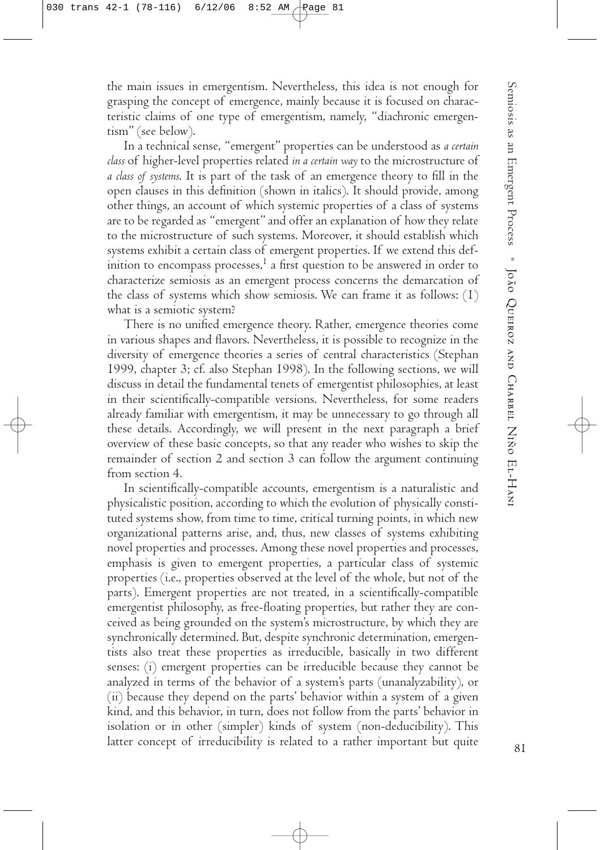the main issues in emergentism. Nevertheless, this idea is not enough for grasping the concept of emergence, mainly because it is focused on characteristic claims of one type of emergentism, namely, "diachronic emergentism" (see below).

In a technical sense, "emergent" properties can be understood as *a certain class* of higher-level properties related *in a certain way* to the microstructure of *a class of systems*. It is part of the task of an emergence theory to fill in the open clauses in this definition (shown in italics). It should provide, among other things, an account of which systemic properties of a class of systems are to be regarded as "emergent" and offer an explanation of how they relate to the microstructure of such systems. Moreover, it should establish which systems exhibit a certain class of emergent properties. If we extend this definition to encompass processes, $<sup>I</sup>$  a first question to be answered in order to</sup> characterize semiosis as an emergent process concerns the demarcation of the class of systems which show semiosis. We can frame it as follows: (1) what is a semiotic system?

There is no unified emergence theory. Rather, emergence theories come in various shapes and flavors. Nevertheless, it is possible to recognize in the diversity of emergence theories a series of central characteristics (Stephan 1999, chapter 3; cf. also Stephan 1998). In the following sections, we will discuss in detail the fundamental tenets of emergentist philosophies, at least in their scientifically-compatible versions. Nevertheless, for some readers already familiar with emergentism, it may be unnecessary to go through all these details. Accordingly, we will present in the next paragraph a brief overview of these basic concepts, so that any reader who wishes to skip the remainder of section 2 and section 3 can follow the argument continuing from section 4.

In scientifically-compatible accounts, emergentism is a naturalistic and physicalistic position, according to which the evolution of physically constituted systems show, from time to time, critical turning points, in which new organizational patterns arise, and, thus, new classes of systems exhibiting novel properties and processes. Among these novel properties and processes, emphasis is given to emergent properties, a particular class of systemic properties (i.e., properties observed at the level of the whole, but not of the parts). Emergent properties are not treated, in a scientifically-compatible emergentist philosophy, as free-floating properties, but rather they are conceived as being grounded on the system's microstructure, by which they are synchronically determined. But, despite synchronic determination, emergentists also treat these properties as irreducible, basically in two different senses: (i) emergent properties can be irreducible because they cannot be analyzed in terms of the behavior of a system's parts (unanalyzability), or (ii) because they depend on the parts' behavior within a system of a given kind, and this behavior, in turn, does not follow from the parts' behavior in isolation or in other (simpler) kinds of system (non-deducibility). This latter concept of irreducibility is related to a rather important but quite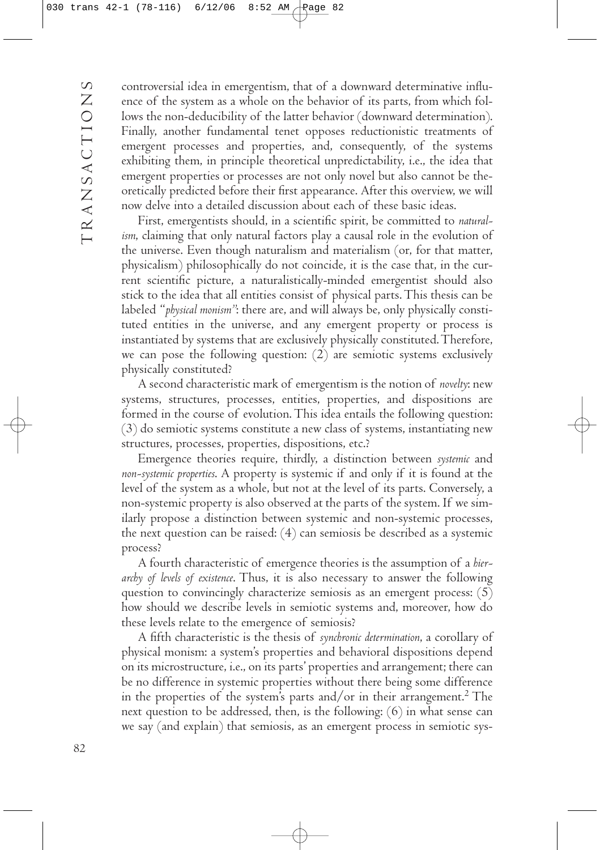controversial idea in emergentism, that of a downward determinative influence of the system as a whole on the behavior of its parts, from which follows the non-deducibility of the latter behavior (downward determination). Finally, another fundamental tenet opposes reductionistic treatments of emergent processes and properties, and, consequently, of the systems exhibiting them, in principle theoretical unpredictability, i.e., the idea that emergent properties or processes are not only novel but also cannot be theoretically predicted before their first appearance. After this overview, we will now delve into a detailed discussion about each of these basic ideas.

First, emergentists should, in a scientific spirit, be committed to *naturalism*, claiming that only natural factors play a causal role in the evolution of the universe. Even though naturalism and materialism (or, for that matter, physicalism) philosophically do not coincide, it is the case that, in the current scientific picture, a naturalistically-minded emergentist should also stick to the idea that all entities consist of physical parts. This thesis can be labeled "*physical monism"*: there are, and will always be, only physically constituted entities in the universe, and any emergent property or process is instantiated by systems that are exclusively physically constituted. Therefore, we can pose the following question: (2) are semiotic systems exclusively physically constituted?

A second characteristic mark of emergentism is the notion of *novelty*: new systems, structures, processes, entities, properties, and dispositions are formed in the course of evolution. This idea entails the following question: (3) do semiotic systems constitute a new class of systems, instantiating new structures, processes, properties, dispositions, etc.?

Emergence theories require, thirdly, a distinction between *systemic* and *non-systemic properties*. A property is systemic if and only if it is found at the level of the system as a whole, but not at the level of its parts. Conversely, a non-systemic property is also observed at the parts of the system. If we similarly propose a distinction between systemic and non-systemic processes, the next question can be raised: (4) can semiosis be described as a systemic process?

A fourth characteristic of emergence theories is the assumption of a *hierarchy of levels of existence*. Thus, it is also necessary to answer the following question to convincingly characterize semiosis as an emergent process: (5) how should we describe levels in semiotic systems and, moreover, how do these levels relate to the emergence of semiosis?

A fifth characteristic is the thesis of *synchronic determination*, a corollary of physical monism: a system's properties and behavioral dispositions depend on its microstructure, i.e., on its parts' properties and arrangement; there can be no difference in systemic properties without there being some difference in the properties of the system's parts and/or in their arrangement.<sup>2</sup> The next question to be addressed, then, is the following: (6) in what sense can we say (and explain) that semiosis, as an emergent process in semiotic sys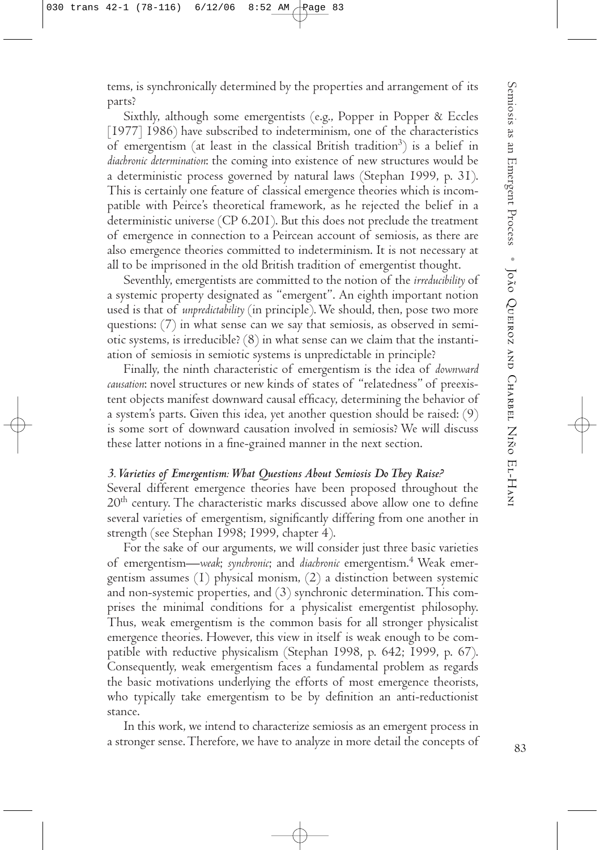tems, is synchronically determined by the properties and arrangement of its parts?

Sixthly, although some emergentists (e.g., Popper in Popper & Eccles [1977] 1986) have subscribed to indeterminism, one of the characteristics of emergentism (at least in the classical British tradition $^3$ ) is a belief in *diachronic determination*: the coming into existence of new structures would be a deterministic process governed by natural laws (Stephan 1999, p. 31). This is certainly one feature of classical emergence theories which is incompatible with Peirce's theoretical framework, as he rejected the belief in a deterministic universe (CP 6.201). But this does not preclude the treatment of emergence in connection to a Peircean account of semiosis, as there are also emergence theories committed to indeterminism. It is not necessary at all to be imprisoned in the old British tradition of emergentist thought.

Seventhly, emergentists are committed to the notion of the *irreducibility* of a systemic property designated as "emergent". An eighth important notion used is that of *unpredictability* (in principle). We should, then, pose two more questions: (7) in what sense can we say that semiosis, as observed in semiotic systems, is irreducible? (8) in what sense can we claim that the instantiation of semiosis in semiotic systems is unpredictable in principle?

Finally, the ninth characteristic of emergentism is the idea of *downward causation*: novel structures or new kinds of states of "relatedness" of preexistent objects manifest downward causal efficacy, determining the behavior of a system's parts. Given this idea, yet another question should be raised: (9) is some sort of downward causation involved in semiosis? We will discuss these latter notions in a fine-grained manner in the next section.

#### *3.Varieties of Emergentism: What Questions About Semiosis Do They Raise?*

Several different emergence theories have been proposed throughout the  $20<sup>th</sup>$  century. The characteristic marks discussed above allow one to define several varieties of emergentism, significantly differing from one another in strength (see Stephan 1998; 1999, chapter 4).

For the sake of our arguments, we will consider just three basic varieties of emergentism—*weak*; *synchronic*; and *diachronic* emergentism.4 Weak emergentism assumes (1) physical monism, (2) a distinction between systemic and non-systemic properties, and (3) synchronic determination. This comprises the minimal conditions for a physicalist emergentist philosophy. Thus, weak emergentism is the common basis for all stronger physicalist emergence theories. However, this view in itself is weak enough to be compatible with reductive physicalism (Stephan 1998, p. 642; 1999, p. 67). Consequently, weak emergentism faces a fundamental problem as regards the basic motivations underlying the efforts of most emergence theorists, who typically take emergentism to be by definition an anti-reductionist stance.

In this work, we intend to characterize semiosis as an emergent process in a stronger sense. Therefore, we have to analyze in more detail the concepts of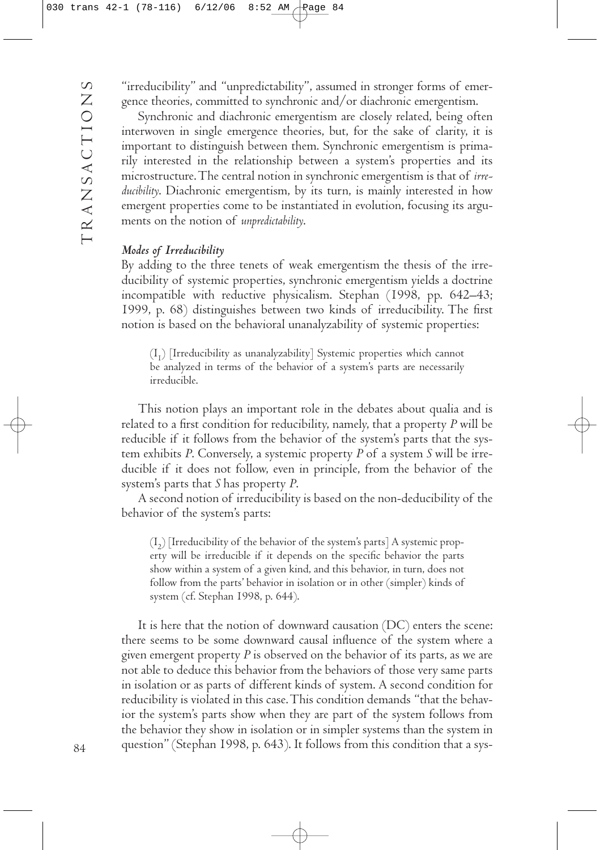"irreducibility" and "unpredictability", assumed in stronger forms of emergence theories, committed to synchronic and/or diachronic emergentism.

Synchronic and diachronic emergentism are closely related, being often interwoven in single emergence theories, but, for the sake of clarity, it is important to distinguish between them. Synchronic emergentism is primarily interested in the relationship between a system's properties and its microstructure. The central notion in synchronic emergentism is that of *irreducibility*. Diachronic emergentism, by its turn, is mainly interested in how emergent properties come to be instantiated in evolution, focusing its arguments on the notion of *unpredictability*.

## *Modes of Irreducibility*

By adding to the three tenets of weak emergentism the thesis of the irreducibility of systemic properties, synchronic emergentism yields a doctrine incompatible with reductive physicalism. Stephan (1998, pp. 642–43; 1999, p. 68) distinguishes between two kinds of irreducibility. The first notion is based on the behavioral unanalyzability of systemic properties:

 $(I<sub>I</sub>)$  [Irreducibility as unanalyzability] Systemic properties which cannot be analyzed in terms of the behavior of a system's parts are necessarily irreducible.

This notion plays an important role in the debates about qualia and is related to a first condition for reducibility, namely, that a property *P* will be reducible if it follows from the behavior of the system's parts that the system exhibits *P*. Conversely, a systemic property *P* of a system *S* will be irreducible if it does not follow, even in principle, from the behavior of the system's parts that *S* has property *P*.

A second notion of irreducibility is based on the non-deducibility of the behavior of the system's parts:

 $(I_2)$  [Irreducibility of the behavior of the system's parts] A systemic property will be irreducible if it depends on the specific behavior the parts show within a system of a given kind, and this behavior, in turn, does not follow from the parts' behavior in isolation or in other (simpler) kinds of system (cf. Stephan 1998, p. 644).

It is here that the notion of downward causation (DC) enters the scene: there seems to be some downward causal influence of the system where a given emergent property *P* is observed on the behavior of its parts, as we are not able to deduce this behavior from the behaviors of those very same parts in isolation or as parts of different kinds of system. A second condition for reducibility is violated in this case. This condition demands "that the behavior the system's parts show when they are part of the system follows from the behavior they show in isolation or in simpler systems than the system in question" (Stephan 1998, p. 643). It follows from this condition that a sys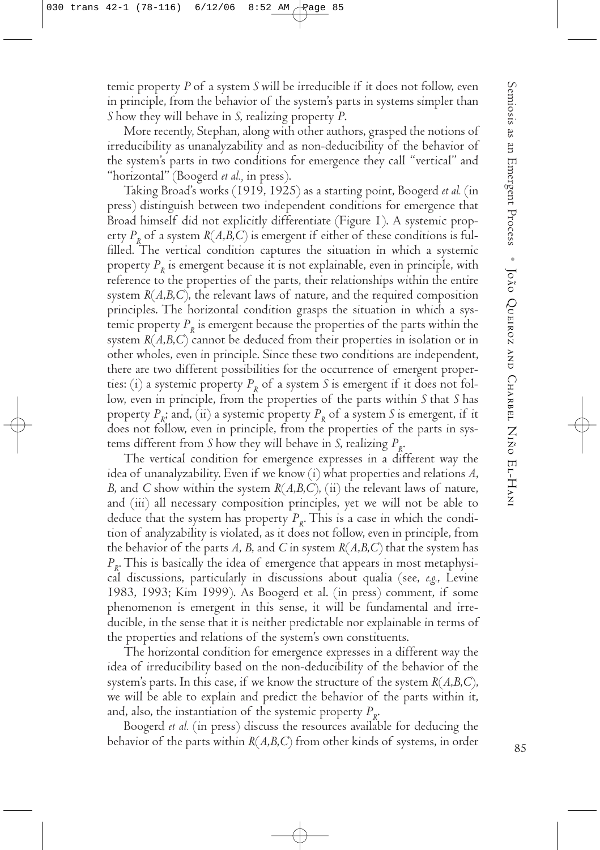temic property *P* of a system *S* will be irreducible if it does not follow, even in principle, from the behavior of the system's parts in systems simpler than *S* how they will behave in *S*, realizing property *P*.

More recently, Stephan, along with other authors, grasped the notions of irreducibility as unanalyzability and as non-deducibility of the behavior of the system's parts in two conditions for emergence they call "vertical" and "horizontal" (Boogerd *et al.,* in press).

Taking Broad's works (1919, 1925) as a starting point, Boogerd *et al.* (in press) distinguish between two independent conditions for emergence that Broad himself did not explicitly differentiate (Figure 1). A systemic property  $P_p$  of a system  $R(A,B,C)$  is emergent if either of these conditions is fulfilled. The vertical condition captures the situation in which a systemic property  $P<sub>R</sub>$  is emergent because it is not explainable, even in principle, with reference to the properties of the parts, their relationships within the entire system *R*(*A*,*B*,*C*), the relevant laws of nature, and the required composition principles. The horizontal condition grasps the situation in which a systemic property  $P<sub>p</sub>$  is emergent because the properties of the parts within the system *R*(*A*,*B*,*C*) cannot be deduced from their properties in isolation or in other wholes, even in principle. Since these two conditions are independent, there are two different possibilities for the occurrence of emergent properties: (i) a systemic property  $P<sub>R</sub>$  of a system *S* is emergent if it does not follow, even in principle, from the properties of the parts within *S* that *S* has property  $P_k$ ; and, (ii) a systemic property  $P_k$  of a system *S* is emergent, if it does not follow, even in principle, from the properties of the parts in systems different from *S* how they will behave in *S*, realizing  $P_p$ .

The vertical condition for emergence expresses in a different way the idea of unanalyzability. Even if we know (i) what properties and relations *A*, *B*, and *C* show within the system *R*(*A*,*B*,*C*), (ii) the relevant laws of nature, and (iii) all necessary composition principles, yet we will not be able to deduce that the system has property  $P<sub>p</sub>$ . This is a case in which the condition of analyzability is violated, as it does not follow, even in principle, from the behavior of the parts *A*, *B*, and *C* in system  $R(A,B,C)$  that the system has *PR*. This is basically the idea of emergence that appears in most metaphysical discussions, particularly in discussions about qualia (see, *e.g.*, Levine 1983, 1993; Kim 1999). As Boogerd et al. (in press) comment, if some phenomenon is emergent in this sense, it will be fundamental and irreducible, in the sense that it is neither predictable nor explainable in terms of the properties and relations of the system's own constituents.

The horizontal condition for emergence expresses in a different way the idea of irreducibility based on the non-deducibility of the behavior of the system's parts. In this case, if we know the structure of the system *R*(*A*,*B*,*C*), we will be able to explain and predict the behavior of the parts within it, and, also, the instantiation of the systemic property  $P<sub>p</sub>$ .

Boogerd *et al.* (in press) discuss the resources available for deducing the behavior of the parts within *R*(*A*,*B*,*C*) from other kinds of systems, in order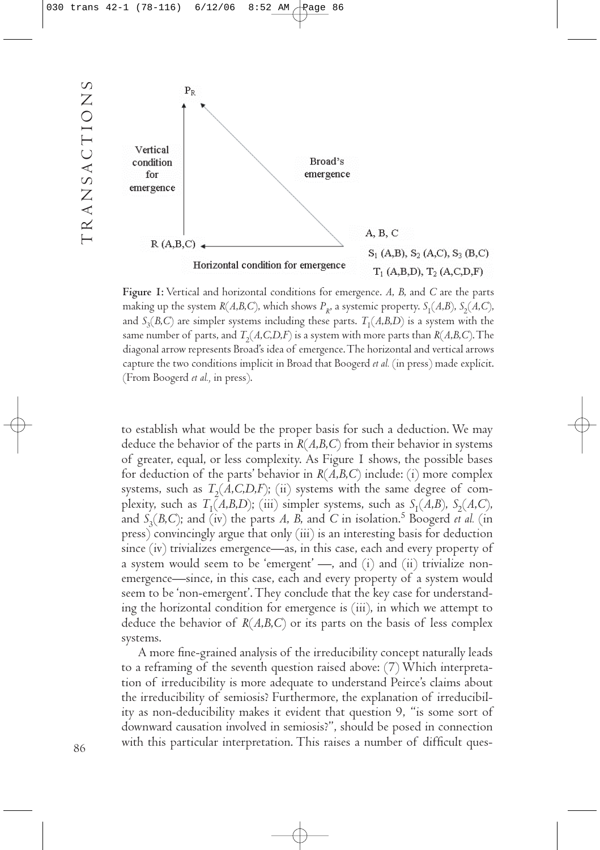

**Figure 1:** Vertical and horizontal conditions for emergence. *A*, *B*, and *C* are the parts making up the system  $R(A,B,C)$ , which shows  $P_R$ , a systemic property.  $S_1(A,B)$ ,  $S_2(A,C)$ , and  $S_3(B,C)$  are simpler systems including these parts.  $T_1(A,B,D)$  is a system with the same number of parts, and  $T_2(A, C, D, F)$  is a system with more parts than  $R(A, B, C)$ . The diagonal arrow represents Broad's idea of emergence. The horizontal and vertical arrows capture the two conditions implicit in Broad that Boogerd *et al.* (in press) made explicit. (From Boogerd *et al.,* in press).

to establish what would be the proper basis for such a deduction. We may deduce the behavior of the parts in *R*(*A*,*B*,*C*) from their behavior in systems of greater, equal, or less complexity. As Figure 1 shows, the possible bases for deduction of the parts' behavior in *R*(*A*,*B*,*C*) include: (i) more complex systems, such as  $T_2(A, C, D, F)$ ; (ii) systems with the same degree of complexity, such as  $T_1(A,B,D)$ ; (iii) simpler systems, such as  $S_1(A,B)$ ,  $S_2(A,C)$ , and  $S_3(B,C)$ ; and (iv) the parts *A*, *B*, and *C* in isolation.<sup>5</sup> Boogerd *et al.* (in press) convincingly argue that only (iii) is an interesting basis for deduction since (iv) trivializes emergence—as, in this case, each and every property of a system would seem to be 'emergent' —, and (i) and (ii) trivialize nonemergence—since, in this case, each and every property of a system would seem to be 'non-emergent'. They conclude that the key case for understanding the horizontal condition for emergence is (iii), in which we attempt to deduce the behavior of *R*(*A*,*B*,*C*) or its parts on the basis of less complex systems.

A more fine-grained analysis of the irreducibility concept naturally leads to a reframing of the seventh question raised above: (7) Which interpretation of irreducibility is more adequate to understand Peirce's claims about the irreducibility of semiosis? Furthermore, the explanation of irreducibility as non-deducibility makes it evident that question 9, "is some sort of downward causation involved in semiosis?", should be posed in connection with this particular interpretation. This raises a number of difficult ques-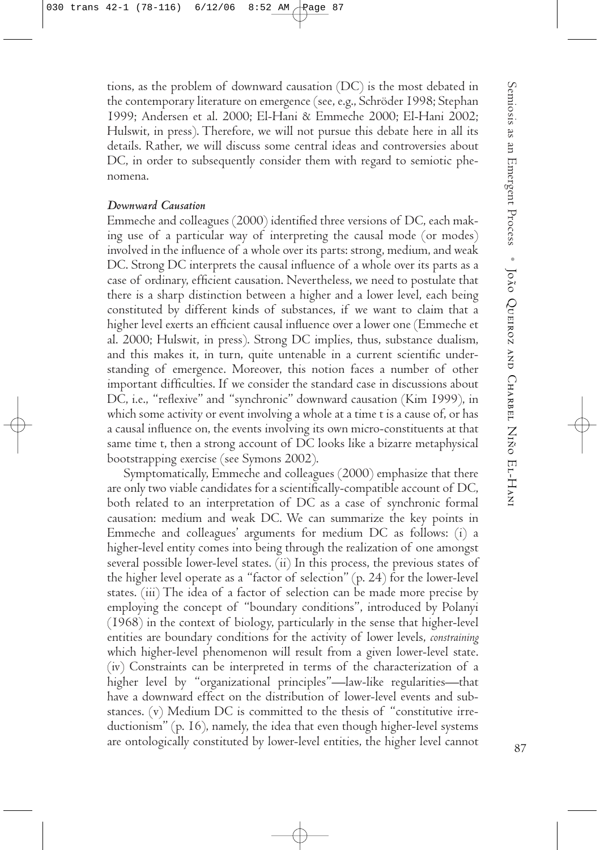tions, as the problem of downward causation (DC) is the most debated in the contemporary literature on emergence (see, e.g., Schröder 1998; Stephan 1999; Andersen et al. 2000; El-Hani & Emmeche 2000; El-Hani 2002; Hulswit, in press). Therefore, we will not pursue this debate here in all its details. Rather, we will discuss some central ideas and controversies about DC, in order to subsequently consider them with regard to semiotic phenomena.

## *Downward Causation*

Emmeche and colleagues (2000) identified three versions of DC, each making use of a particular way of interpreting the causal mode (or modes) involved in the influence of a whole over its parts: strong, medium, and weak DC. Strong DC interprets the causal influence of a whole over its parts as a case of ordinary, efficient causation. Nevertheless, we need to postulate that there is a sharp distinction between a higher and a lower level, each being constituted by different kinds of substances, if we want to claim that a higher level exerts an efficient causal influence over a lower one (Emmeche et al. 2000; Hulswit, in press). Strong DC implies, thus, substance dualism, and this makes it, in turn, quite untenable in a current scientific understanding of emergence. Moreover, this notion faces a number of other important difficulties. If we consider the standard case in discussions about DC, i.e., "reflexive" and "synchronic" downward causation (Kim 1999), in which some activity or event involving a whole at a time t is a cause of, or has a causal influence on, the events involving its own micro-constituents at that same time t, then a strong account of DC looks like a bizarre metaphysical bootstrapping exercise (see Symons 2002).

Symptomatically, Emmeche and colleagues (2000) emphasize that there are only two viable candidates for a scientifically-compatible account of DC, both related to an interpretation of DC as a case of synchronic formal causation: medium and weak DC. We can summarize the key points in Emmeche and colleagues' arguments for medium DC as follows: (i) a higher-level entity comes into being through the realization of one amongst several possible lower-level states. (ii) In this process, the previous states of the higher level operate as a "factor of selection" (p. 24) for the lower-level states. (iii) The idea of a factor of selection can be made more precise by employing the concept of "boundary conditions", introduced by Polanyi (1968) in the context of biology, particularly in the sense that higher-level entities are boundary conditions for the activity of lower levels, *constraining* which higher-level phenomenon will result from a given lower-level state. (iv) Constraints can be interpreted in terms of the characterization of a higher level by "organizational principles"—law-like regularities—that have a downward effect on the distribution of lower-level events and substances. (v) Medium DC is committed to the thesis of "constitutive irreductionism" (p. 16), namely, the idea that even though higher-level systems are ontologically constituted by lower-level entities, the higher level cannot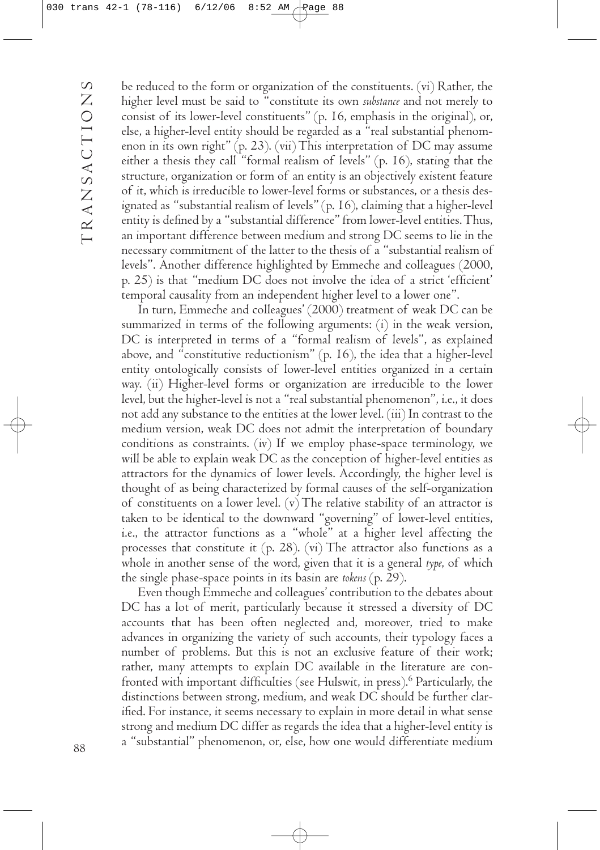be reduced to the form or organization of the constituents. (vi) Rather, the higher level must be said to "constitute its own *substance* and not merely to consist of its lower-level constituents" (p. 16, emphasis in the original), or, else, a higher-level entity should be regarded as a "real substantial phenomenon in its own right" (p. 23). (vii) This interpretation of DC may assume either a thesis they call "formal realism of levels" (p. 16), stating that the structure, organization or form of an entity is an objectively existent feature of it, which is irreducible to lower-level forms or substances, or a thesis designated as "substantial realism of levels" (p. 16), claiming that a higher-level entity is defined by a "substantial difference" from lower-level entities. Thus, an important difference between medium and strong DC seems to lie in the necessary commitment of the latter to the thesis of a "substantial realism of levels". Another difference highlighted by Emmeche and colleagues (2000, p. 25) is that "medium DC does not involve the idea of a strict 'efficient' temporal causality from an independent higher level to a lower one".

In turn, Emmeche and colleagues' (2000) treatment of weak DC can be summarized in terms of the following arguments: (i) in the weak version, DC is interpreted in terms of a "formal realism of levels", as explained above, and "constitutive reductionism" (p.  $16$ ), the idea that a higher-level entity ontologically consists of lower-level entities organized in a certain way. (ii) Higher-level forms or organization are irreducible to the lower level, but the higher-level is not a "real substantial phenomenon", i.e., it does not add any substance to the entities at the lower level. (iii) In contrast to the medium version, weak DC does not admit the interpretation of boundary conditions as constraints. (iv) If we employ phase-space terminology, we will be able to explain weak DC as the conception of higher-level entities as attractors for the dynamics of lower levels. Accordingly, the higher level is thought of as being characterized by formal causes of the self-organization of constituents on a lower level.  $(v)$  The relative stability of an attractor is taken to be identical to the downward "governing" of lower-level entities, i.e., the attractor functions as a "whole" at a higher level affecting the processes that constitute it (p. 28). (vi) The attractor also functions as a whole in another sense of the word, given that it is a general *type*, of which the single phase-space points in its basin are *tokens* (p. 29).

Even though Emmeche and colleagues' contribution to the debates about DC has a lot of merit, particularly because it stressed a diversity of DC accounts that has been often neglected and, moreover, tried to make advances in organizing the variety of such accounts, their typology faces a number of problems. But this is not an exclusive feature of their work; rather, many attempts to explain DC available in the literature are confronted with important difficulties (see Hulswit, in press).<sup>6</sup> Particularly, the distinctions between strong, medium, and weak DC should be further clarified. For instance, it seems necessary to explain in more detail in what sense strong and medium DC differ as regards the idea that a higher-level entity is a "substantial" phenomenon, or, else, how one would differentiate medium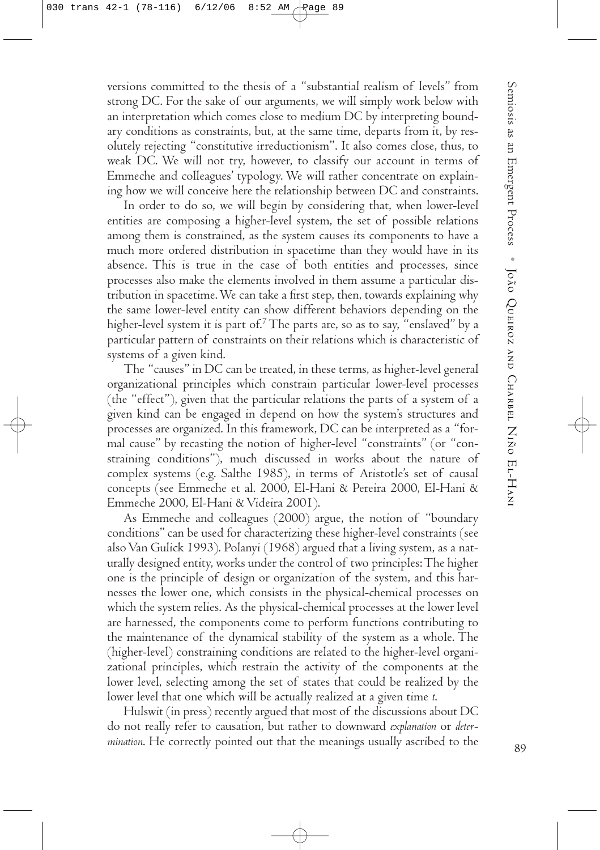versions committed to the thesis of a "substantial realism of levels" from strong DC. For the sake of our arguments, we will simply work below with an interpretation which comes close to medium DC by interpreting boundary conditions as constraints, but, at the same time, departs from it, by resolutely rejecting "constitutive irreductionism". It also comes close, thus, to weak DC. We will not try, however, to classify our account in terms of Emmeche and colleagues' typology. We will rather concentrate on explaining how we will conceive here the relationship between DC and constraints.

In order to do so, we will begin by considering that, when lower-level entities are composing a higher-level system, the set of possible relations among them is constrained, as the system causes its components to have a much more ordered distribution in spacetime than they would have in its absence. This is true in the case of both entities and processes, since processes also make the elements involved in them assume a particular distribution in spacetime. We can take a first step, then, towards explaining why the same lower-level entity can show different behaviors depending on the higher-level system it is part of.<sup>7</sup> The parts are, so as to say, "enslaved" by a particular pattern of constraints on their relations which is characteristic of systems of a given kind.

The "causes" in DC can be treated, in these terms, as higher-level general organizational principles which constrain particular lower-level processes (the "effect"), given that the particular relations the parts of a system of a given kind can be engaged in depend on how the system's structures and processes are organized. In this framework, DC can be interpreted as a "formal cause" by recasting the notion of higher-level "constraints" (or "constraining conditions"), much discussed in works about the nature of complex systems (e.g. Salthe 1985), in terms of Aristotle's set of causal concepts (see Emmeche et al. 2000, El-Hani & Pereira 2000, El-Hani & Emmeche 2000, El-Hani & Videira 2001).

As Emmeche and colleagues (2000) argue, the notion of "boundary conditions" can be used for characterizing these higher-level constraints (see also Van Gulick 1993). Polanyi (1968) argued that a living system, as a naturally designed entity, works under the control of two principles: The higher one is the principle of design or organization of the system, and this harnesses the lower one, which consists in the physical-chemical processes on which the system relies. As the physical-chemical processes at the lower level are harnessed, the components come to perform functions contributing to the maintenance of the dynamical stability of the system as a whole. The (higher-level) constraining conditions are related to the higher-level organizational principles, which restrain the activity of the components at the lower level, selecting among the set of states that could be realized by the lower level that one which will be actually realized at a given time *t*.

Hulswit (in press) recently argued that most of the discussions about DC do not really refer to causation, but rather to downward *explanation* or *determination*. He correctly pointed out that the meanings usually ascribed to the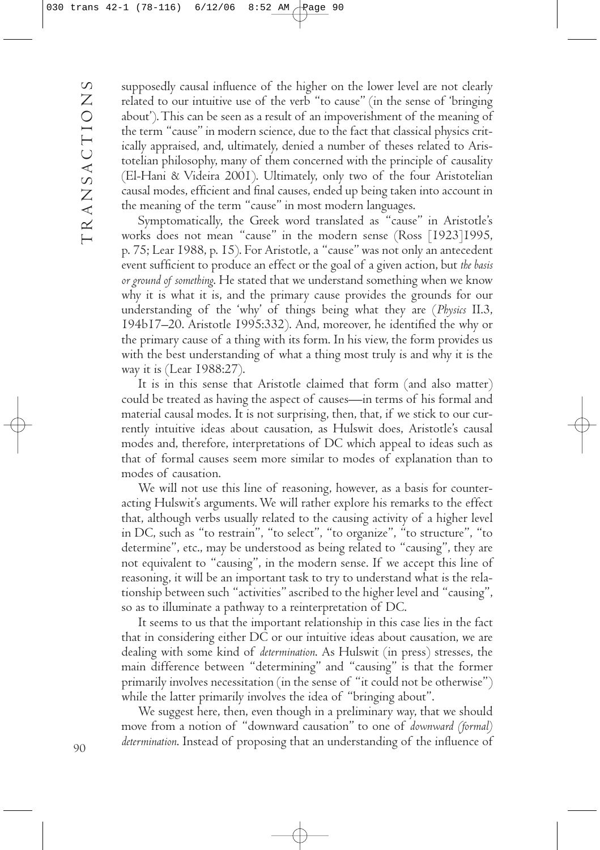supposedly causal influence of the higher on the lower level are not clearly related to our intuitive use of the verb "to cause" (in the sense of 'bringing about'). This can be seen as a result of an impoverishment of the meaning of the term "cause" in modern science, due to the fact that classical physics critically appraised, and, ultimately, denied a number of theses related to Aristotelian philosophy, many of them concerned with the principle of causality (El-Hani & Videira 2001). Ultimately, only two of the four Aristotelian causal modes, efficient and final causes, ended up being taken into account in the meaning of the term "cause" in most modern languages.

Symptomatically, the Greek word translated as "cause" in Aristotle's works does not mean "cause" in the modern sense (Ross [1923]1995, p. 75; Lear 1988, p. 15). For Aristotle, a "cause" was not only an antecedent event sufficient to produce an effect or the goal of a given action, but *the basis or ground of something*. He stated that we understand something when we know why it is what it is, and the primary cause provides the grounds for our understanding of the 'why' of things being what they are (*Physics* II.3, 194b17–20. Aristotle 1995:332). And, moreover, he identified the why or the primary cause of a thing with its form. In his view, the form provides us with the best understanding of what a thing most truly is and why it is the way it is (Lear 1988:27).

It is in this sense that Aristotle claimed that form (and also matter) could be treated as having the aspect of causes—in terms of his formal and material causal modes. It is not surprising, then, that, if we stick to our currently intuitive ideas about causation, as Hulswit does, Aristotle's causal modes and, therefore, interpretations of DC which appeal to ideas such as that of formal causes seem more similar to modes of explanation than to modes of causation.

We will not use this line of reasoning, however, as a basis for counteracting Hulswit's arguments. We will rather explore his remarks to the effect that, although verbs usually related to the causing activity of a higher level in DC, such as "to restrain", "to select", "to organize", "to structure", "to determine", etc., may be understood as being related to "causing", they are not equivalent to "causing", in the modern sense. If we accept this line of reasoning, it will be an important task to try to understand what is the relationship between such "activities" ascribed to the higher level and "causing", so as to illuminate a pathway to a reinterpretation of DC.

It seems to us that the important relationship in this case lies in the fact that in considering either DC or our intuitive ideas about causation, we are dealing with some kind of *determination*. As Hulswit (in press) stresses, the main difference between "determining" and "causing" is that the former primarily involves necessitation (in the sense of "it could not be otherwise") while the latter primarily involves the idea of "bringing about".

We suggest here, then, even though in a preliminary way, that we should move from a notion of "downward causation" to one of *downward (formal) determination*. Instead of proposing that an understanding of the influence of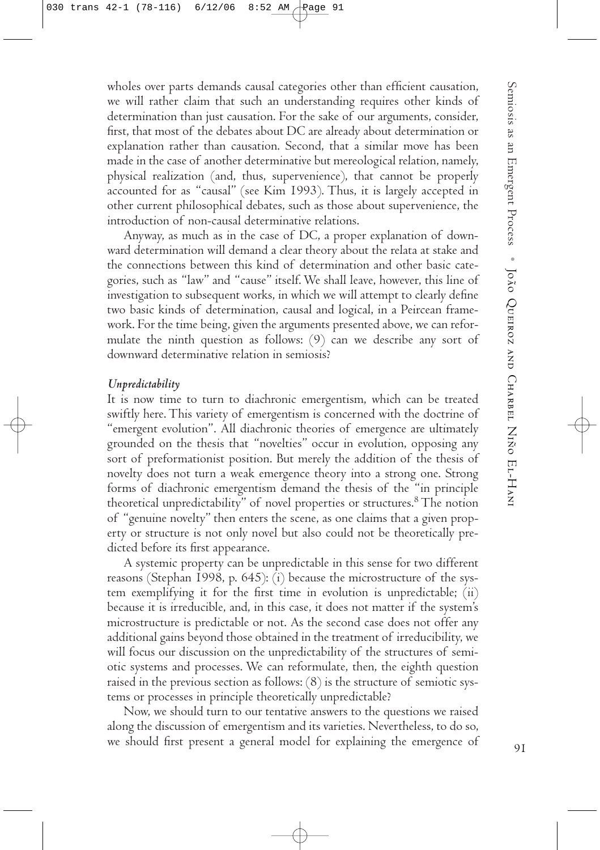wholes over parts demands causal categories other than efficient causation, we will rather claim that such an understanding requires other kinds of determination than just causation. For the sake of our arguments, consider, first, that most of the debates about DC are already about determination or explanation rather than causation. Second, that a similar move has been made in the case of another determinative but mereological relation, namely, physical realization (and, thus, supervenience), that cannot be properly accounted for as "causal" (see Kim 1993). Thus, it is largely accepted in other current philosophical debates, such as those about supervenience, the introduction of non-causal determinative relations.

Anyway, as much as in the case of DC, a proper explanation of downward determination will demand a clear theory about the relata at stake and the connections between this kind of determination and other basic categories, such as "law" and "cause" itself. We shall leave, however, this line of investigation to subsequent works, in which we will attempt to clearly define two basic kinds of determination, causal and logical, in a Peircean framework. For the time being, given the arguments presented above, we can reformulate the ninth question as follows: (9) can we describe any sort of downward determinative relation in semiosis?

#### *Unpredictability*

It is now time to turn to diachronic emergentism, which can be treated swiftly here. This variety of emergentism is concerned with the doctrine of "emergent evolution". All diachronic theories of emergence are ultimately grounded on the thesis that "novelties" occur in evolution, opposing any sort of preformationist position. But merely the addition of the thesis of novelty does not turn a weak emergence theory into a strong one. Strong forms of diachronic emergentism demand the thesis of the "in principle theoretical unpredictability" of novel properties or structures.<sup>8</sup> The notion of "genuine novelty" then enters the scene, as one claims that a given property or structure is not only novel but also could not be theoretically predicted before its first appearance.

A systemic property can be unpredictable in this sense for two different reasons (Stephan 1998, p. 645): (i) because the microstructure of the system exemplifying it for the first time in evolution is unpredictable; (ii) because it is irreducible, and, in this case, it does not matter if the system's microstructure is predictable or not. As the second case does not offer any additional gains beyond those obtained in the treatment of irreducibility, we will focus our discussion on the unpredictability of the structures of semiotic systems and processes. We can reformulate, then, the eighth question raised in the previous section as follows: (8) is the structure of semiotic systems or processes in principle theoretically unpredictable?

Now, we should turn to our tentative answers to the questions we raised along the discussion of emergentism and its varieties. Nevertheless, to do so, we should first present a general model for explaining the emergence of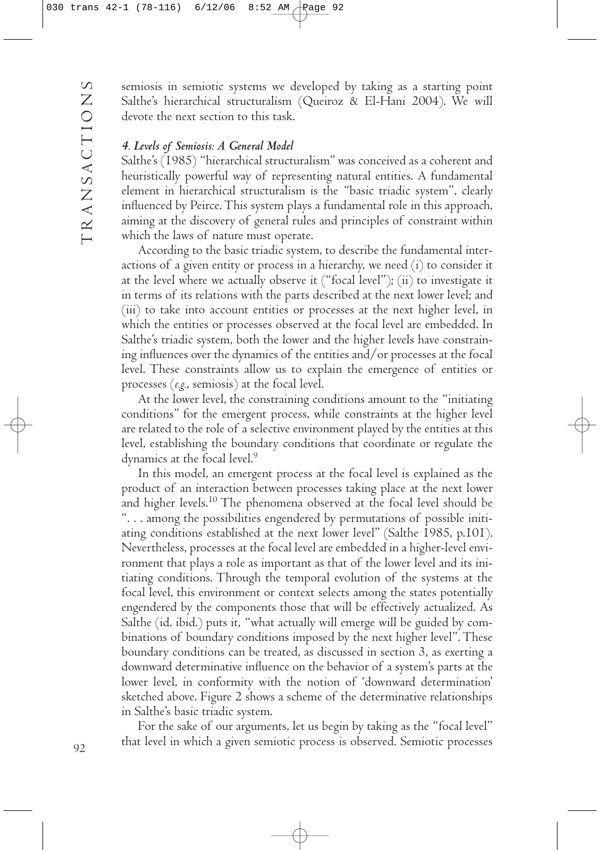semiosis in semiotic systems we developed by taking as a starting point Salthe's hierarchical structuralism (Queiroz & El-Hani 2004). We will devote the next section to this task.

### *4. Levels of Semiosis: A General Model*

Salthe's (1985) "hierarchical structuralism" was conceived as a coherent and heuristically powerful way of representing natural entities. A fundamental element in hierarchical structuralism is the "basic triadic system", clearly influenced by Peirce. This system plays a fundamental role in this approach, aiming at the discovery of general rules and principles of constraint within which the laws of nature must operate.

According to the basic triadic system, to describe the fundamental interactions of a given entity or process in a hierarchy, we need (i) to consider it at the level where we actually observe it ("focal level"); (ii) to investigate it in terms of its relations with the parts described at the next lower level; and (iii) to take into account entities or processes at the next higher level, in which the entities or processes observed at the focal level are embedded. In Salthe's triadic system, both the lower and the higher levels have constraining influences over the dynamics of the entities and/or processes at the focal level. These constraints allow us to explain the emergence of entities or processes (*e.g.*, semiosis) at the focal level.

At the lower level, the constraining conditions amount to the "initiating conditions" for the emergent process, while constraints at the higher level are related to the role of a selective environment played by the entities at this level, establishing the boundary conditions that coordinate or regulate the dynamics at the focal level.<sup>9</sup>

In this model, an emergent process at the focal level is explained as the product of an interaction between processes taking place at the next lower and higher levels.<sup>10</sup> The phenomena observed at the focal level should be ". . . among the possibilities engendered by permutations of possible initiating conditions established at the next lower level" (Salthe 1985, p.101). Nevertheless, processes at the focal level are embedded in a higher-level environment that plays a role as important as that of the lower level and its initiating conditions. Through the temporal evolution of the systems at the focal level, this environment or context selects among the states potentially engendered by the components those that will be effectively actualized. As Salthe (id. ibid.) puts it, "what actually will emerge will be guided by combinations of boundary conditions imposed by the next higher level". These boundary conditions can be treated, as discussed in section 3, as exerting a downward determinative influence on the behavior of a system's parts at the lower level, in conformity with the notion of 'downward determination' sketched above. Figure 2 shows a scheme of the determinative relationships in Salthe's basic triadic system.

For the sake of our arguments, let us begin by taking as the "focal level" that level in which a given semiotic process is observed. Semiotic processes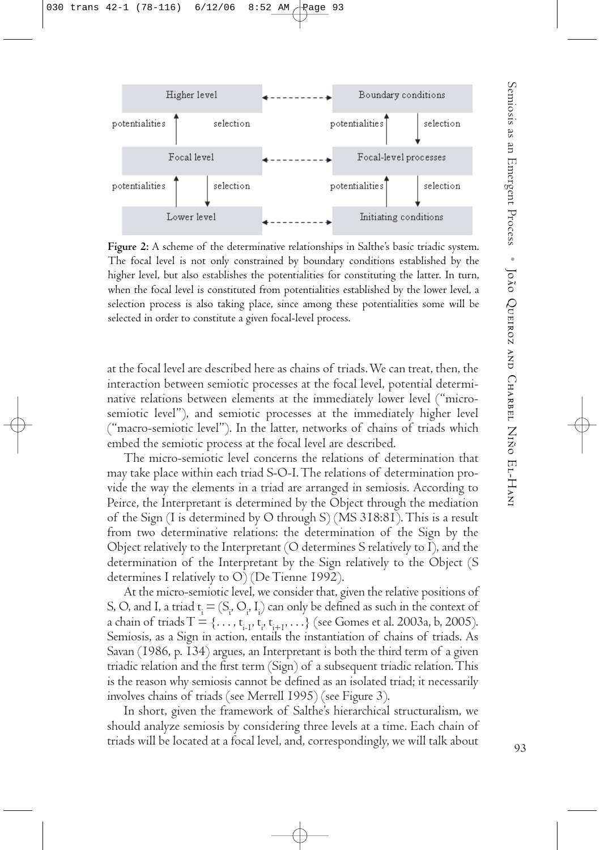

**Figure 2:** A scheme of the determinative relationships in Salthe's basic triadic system. The focal level is not only constrained by boundary conditions established by the higher level, but also establishes the potentialities for constituting the latter. In turn, when the focal level is constituted from potentialities established by the lower level, a selection process is also taking place, since among these potentialities some will be selected in order to constitute a given focal-level process.

at the focal level are described here as chains of triads. We can treat, then, the interaction between semiotic processes at the focal level, potential determinative relations between elements at the immediately lower level ("microsemiotic level"), and semiotic processes at the immediately higher level ("macro-semiotic level"). In the latter, networks of chains of triads which embed the semiotic process at the focal level are described.

The micro-semiotic level concerns the relations of determination that may take place within each triad S-O-I. The relations of determination provide the way the elements in a triad are arranged in semiosis. According to Peirce, the Interpretant is determined by the Object through the mediation of the Sign (I is determined by O through S) (MS 318:81). This is a result from two determinative relations: the determination of the Sign by the Object relatively to the Interpretant (O determines S relatively to I), and the determination of the Interpretant by the Sign relatively to the Object (S determines I relatively to O) (De Tienne 1992).

At the micro-semiotic level, we consider that, given the relative positions of S, O, and I, a triad t<sub>i</sub> =  $(S_i, O_i, I_i)$  can only be defined as such in the context of a chain of triads  $T = \{ \ldots, t_{i-1}, t_i, t_{i+1}, \ldots \}$  (see Gomes et al. 2003a, b, 2005). Semiosis, as a Sign in action, entails the instantiation of chains of triads. As Savan (1986, p. 134) argues, an Interpretant is both the third term of a given triadic relation and the first term (Sign) of a subsequent triadic relation. This is the reason why semiosis cannot be defined as an isolated triad; it necessarily involves chains of triads (see Merrell 1995) (see Figure 3).

In short, given the framework of Salthe's hierarchical structuralism, we should analyze semiosis by considering three levels at a time. Each chain of triads will be located at a focal level, and, correspondingly, we will talk about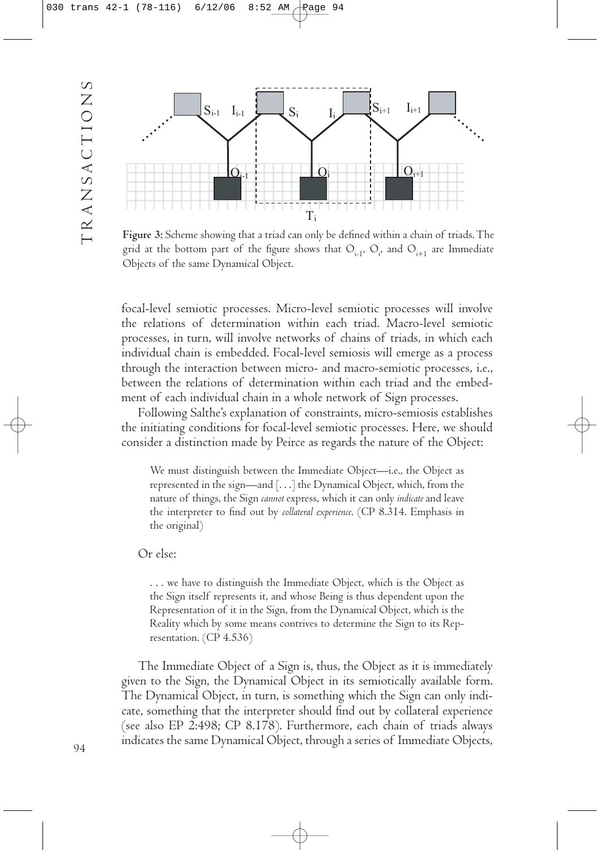

**Figure 3:** Scheme showing that a triad can only be defined within a chain of triads. The grid at the bottom part of the figure shows that  $O_{i-1}$ ,  $O_{i'}$  and  $O_{i+1}$  are Immediate Objects of the same Dynamical Object.

focal-level semiotic processes. Micro-level semiotic processes will involve the relations of determination within each triad. Macro-level semiotic processes, in turn, will involve networks of chains of triads, in which each individual chain is embedded. Focal-level semiosis will emerge as a process through the interaction between micro- and macro-semiotic processes, i.e., between the relations of determination within each triad and the embedment of each individual chain in a whole network of Sign processes.

Following Salthe's explanation of constraints, micro-semiosis establishes the initiating conditions for focal-level semiotic processes. Here, we should consider a distinction made by Peirce as regards the nature of the Object:

We must distinguish between the Immediate Object—i.e., the Object as represented in the sign—and [. . .] the Dynamical Object, which, from the nature of things, the Sign *cannot* express, which it can only *indicate* and leave the interpreter to find out by *collateral experience*. (CP 8.314. Emphasis in the original)

## Or else:

... we have to distinguish the Immediate Object, which is the Object as the Sign itself represents it, and whose Being is thus dependent upon the Representation of it in the Sign, from the Dynamical Object, which is the Reality which by some means contrives to determine the Sign to its Representation. (CP 4.536)

The Immediate Object of a Sign is, thus, the Object as it is immediately given to the Sign, the Dynamical Object in its semiotically available form. The Dynamical Object, in turn, is something which the Sign can only indicate, something that the interpreter should find out by collateral experience (see also EP 2:498; CP 8.178). Furthermore, each chain of triads always indicates the same Dynamical Object, through a series of Immediate Objects,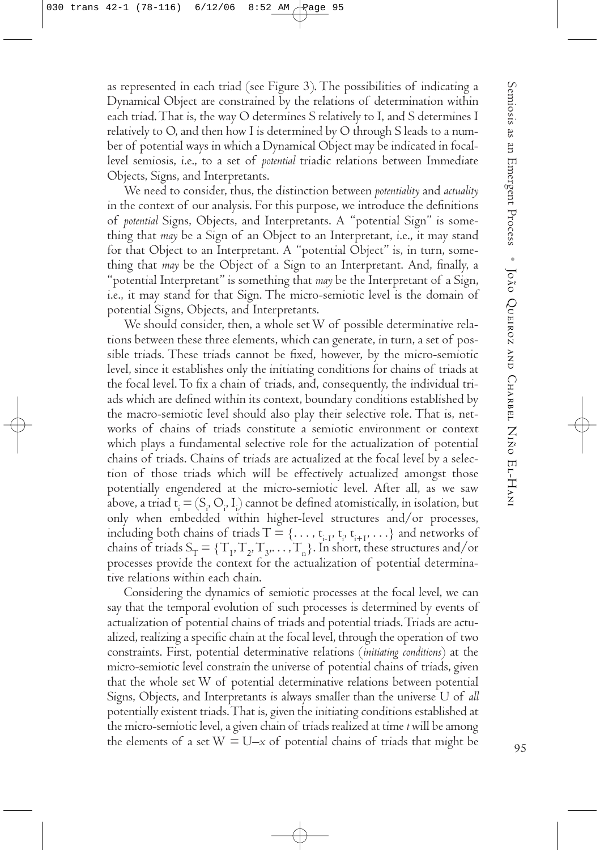as represented in each triad (see Figure 3). The possibilities of indicating a Dynamical Object are constrained by the relations of determination within each triad. That is, the way O determines S relatively to I, and S determines I relatively to O, and then how I is determined by O through S leads to a number of potential ways in which a Dynamical Object may be indicated in focallevel semiosis, i.e., to a set of *potential* triadic relations between Immediate Objects, Signs, and Interpretants.

We need to consider, thus, the distinction between *potentiality* and *actuality* in the context of our analysis. For this purpose, we introduce the definitions of *potential* Signs, Objects, and Interpretants. A "potential Sign" is something that *may* be a Sign of an Object to an Interpretant, i.e., it may stand for that Object to an Interpretant. A "potential Object" is, in turn, something that *may* be the Object of a Sign to an Interpretant. And, finally, a "potential Interpretant" is something that *may* be the Interpretant of a Sign, i.e., it may stand for that Sign. The micro-semiotic level is the domain of potential Signs, Objects, and Interpretants.

We should consider, then, a whole set W of possible determinative relations between these three elements, which can generate, in turn, a set of possible triads. These triads cannot be fixed, however, by the micro-semiotic level, since it establishes only the initiating conditions for chains of triads at the focal level. To fix a chain of triads, and, consequently, the individual triads which are defined within its context, boundary conditions established by the macro-semiotic level should also play their selective role. That is, networks of chains of triads constitute a semiotic environment or context which plays a fundamental selective role for the actualization of potential chains of triads. Chains of triads are actualized at the focal level by a selection of those triads which will be effectively actualized amongst those potentially engendered at the micro-semiotic level. After all, as we saw above, a triad t<sub>i</sub> =  $(S_i, O_j, I_i)$  cannot be defined atomistically, in isolation, but only when embedded within higher-level structures and/or processes, including both chains of triads  $T = \{ \dots, t_{i-1}, t_i, t_{i+1}, \dots \}$  and networks of chains of triads  $S_T = \{T_1, T_2, T_3, \ldots, T_n\}$ . In short, these structures and/or processes provide the context for the actualization of potential determinative relations within each chain.

Considering the dynamics of semiotic processes at the focal level, we can say that the temporal evolution of such processes is determined by events of actualization of potential chains of triads and potential triads. Triads are actualized, realizing a specific chain at the focal level, through the operation of two constraints. First, potential determinative relations (*initiating conditions*) at the micro-semiotic level constrain the universe of potential chains of triads, given that the whole set W of potential determinative relations between potential Signs, Objects, and Interpretants is always smaller than the universe U of *all* potentially existent triads. That is, given the initiating conditions established at the micro-semiotic level, a given chain of triads realized at time *t* will be among the elements of a set  $W = U - x$  of potential chains of triads that might be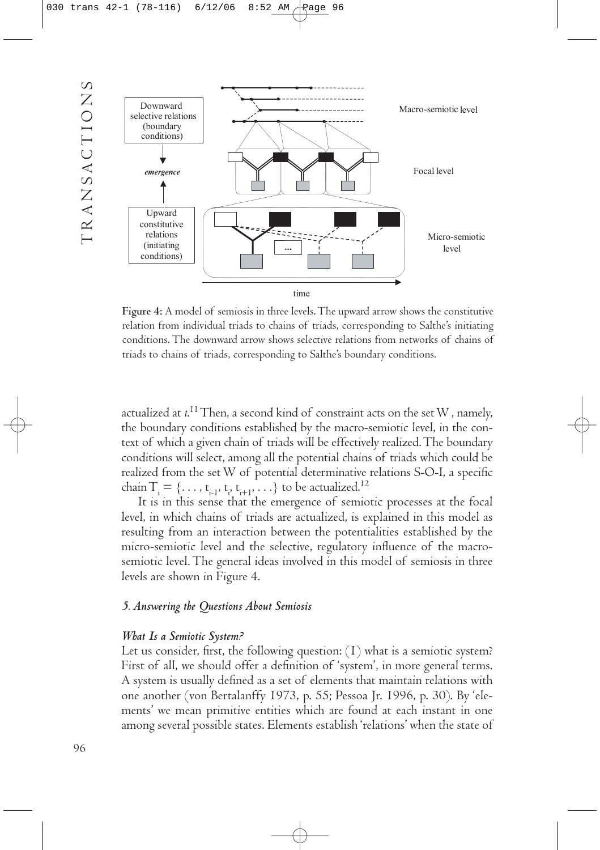

**Figure 4:** A model of semiosis in three levels. The upward arrow shows the constitutive relation from individual triads to chains of triads, corresponding to Salthe's initiating conditions. The downward arrow shows selective relations from networks of chains of triads to chains of triads, corresponding to Salthe's boundary conditions.

actualized at *t*. 11Then, a second kind of constraint acts on the set W , namely, the boundary conditions established by the macro-semiotic level, in the context of which a given chain of triads will be effectively realized. The boundary conditions will select, among all the potential chains of triads which could be realized from the set W of potential determinative relations S-O-I, a specific chain  $T_i = \{ \ldots, t_{i-1}, t_i, t_{i+1}, \ldots \}$  to be actualized.<sup>12</sup>

It is in this sense that the emergence of semiotic processes at the focal level, in which chains of triads are actualized, is explained in this model as resulting from an interaction between the potentialities established by the micro-semiotic level and the selective, regulatory influence of the macrosemiotic level. The general ideas involved in this model of semiosis in three levels are shown in Figure 4.

# *5. Answering the Questions About Semiosis*

## *What Is a Semiotic System?*

Let us consider, first, the following question:  $(I)$  what is a semiotic system? First of all, we should offer a definition of 'system', in more general terms. A system is usually defined as a set of elements that maintain relations with one another (von Bertalanffy 1973, p. 55; Pessoa Jr. 1996, p. 30). By 'elements' we mean primitive entities which are found at each instant in one among several possible states. Elements establish 'relations' when the state of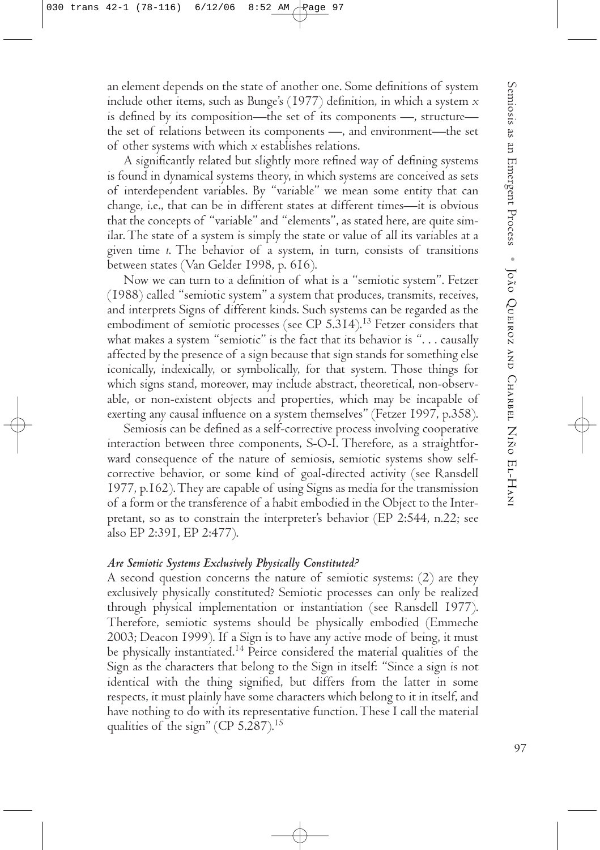an element depends on the state of another one. Some definitions of system include other items, such as Bunge's (1977) definition, in which a system *x* is defined by its composition—the set of its components —, structure the set of relations between its components —, and environment—the set of other systems with which *x* establishes relations.

A significantly related but slightly more refined way of defining systems is found in dynamical systems theory, in which systems are conceived as sets of interdependent variables. By "variable" we mean some entity that can change, i.e., that can be in different states at different times—it is obvious that the concepts of "variable" and "elements", as stated here, are quite similar. The state of a system is simply the state or value of all its variables at a given time *t*. The behavior of a system, in turn, consists of transitions between states (Van Gelder 1998, p. 616).

Now we can turn to a definition of what is a "semiotic system". Fetzer (1988) called "semiotic system" a system that produces, transmits, receives, and interprets Signs of different kinds. Such systems can be regarded as the embodiment of semiotic processes (see CP 5.314).<sup>13</sup> Fetzer considers that what makes a system "semiotic" is the fact that its behavior is "... causally affected by the presence of a sign because that sign stands for something else iconically, indexically, or symbolically, for that system. Those things for which signs stand, moreover, may include abstract, theoretical, non-observable, or non-existent objects and properties, which may be incapable of exerting any causal influence on a system themselves" (Fetzer 1997, p.358).

Semiosis can be defined as a self-corrective process involving cooperative interaction between three components, S-O-I. Therefore, as a straightforward consequence of the nature of semiosis, semiotic systems show selfcorrective behavior, or some kind of goal-directed activity (see Ransdell 1977, p.162). They are capable of using Signs as media for the transmission of a form or the transference of a habit embodied in the Object to the Interpretant, so as to constrain the interpreter's behavior (EP 2:544, n.22; see also EP 2:391, EP 2:477).

## *Are Semiotic Systems Exclusively Physically Constituted?*

A second question concerns the nature of semiotic systems: (2) are they exclusively physically constituted? Semiotic processes can only be realized through physical implementation or instantiation (see Ransdell 1977). Therefore, semiotic systems should be physically embodied (Emmeche 2003; Deacon 1999). If a Sign is to have any active mode of being, it must be physically instantiated.<sup>14</sup> Peirce considered the material qualities of the Sign as the characters that belong to the Sign in itself: "Since a sign is not identical with the thing signified, but differs from the latter in some respects, it must plainly have some characters which belong to it in itself, and have nothing to do with its representative function. These I call the material qualities of the sign" (CP 5.287).<sup>15</sup>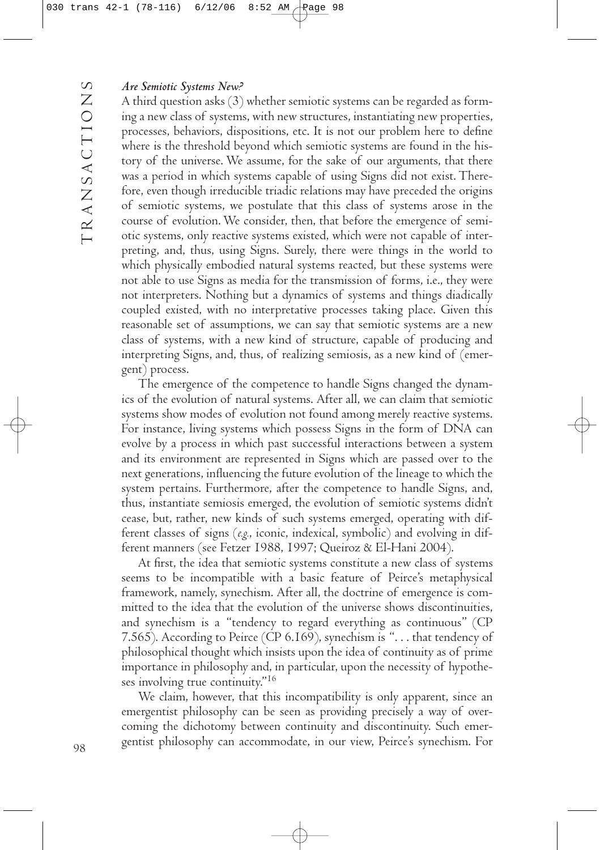## *Are Semiotic Systems New?*

A third question asks (3) whether semiotic systems can be regarded as forming a new class of systems, with new structures, instantiating new properties, processes, behaviors, dispositions, etc. It is not our problem here to define where is the threshold beyond which semiotic systems are found in the history of the universe. We assume, for the sake of our arguments, that there was a period in which systems capable of using Signs did not exist. Therefore, even though irreducible triadic relations may have preceded the origins of semiotic systems, we postulate that this class of systems arose in the course of evolution. We consider, then, that before the emergence of semiotic systems, only reactive systems existed, which were not capable of interpreting, and, thus, using Signs. Surely, there were things in the world to which physically embodied natural systems reacted, but these systems were not able to use Signs as media for the transmission of forms, i.e., they were not interpreters. Nothing but a dynamics of systems and things diadically coupled existed, with no interpretative processes taking place. Given this reasonable set of assumptions, we can say that semiotic systems are a new class of systems, with a new kind of structure, capable of producing and interpreting Signs, and, thus, of realizing semiosis, as a new kind of (emergent) process.

The emergence of the competence to handle Signs changed the dynamics of the evolution of natural systems. After all, we can claim that semiotic systems show modes of evolution not found among merely reactive systems. For instance, living systems which possess Signs in the form of DNA can evolve by a process in which past successful interactions between a system and its environment are represented in Signs which are passed over to the next generations, influencing the future evolution of the lineage to which the system pertains. Furthermore, after the competence to handle Signs, and, thus, instantiate semiosis emerged, the evolution of semiotic systems didn't cease, but, rather, new kinds of such systems emerged, operating with different classes of signs (*e.g.*, iconic, indexical, symbolic) and evolving in different manners (see Fetzer 1988, 1997; Queiroz & El-Hani 2004).

At first, the idea that semiotic systems constitute a new class of systems seems to be incompatible with a basic feature of Peirce's metaphysical framework, namely, synechism. After all, the doctrine of emergence is committed to the idea that the evolution of the universe shows discontinuities, and synechism is a "tendency to regard everything as continuous" (CP 7.565). According to Peirce (CP 6.169), synechism is ". . . that tendency of philosophical thought which insists upon the idea of continuity as of prime importance in philosophy and, in particular, upon the necessity of hypotheses involving true continuity."<sup>16</sup>

We claim, however, that this incompatibility is only apparent, since an emergentist philosophy can be seen as providing precisely a way of overcoming the dichotomy between continuity and discontinuity. Such emergentist philosophy can accommodate, in our view, Peirce's synechism. For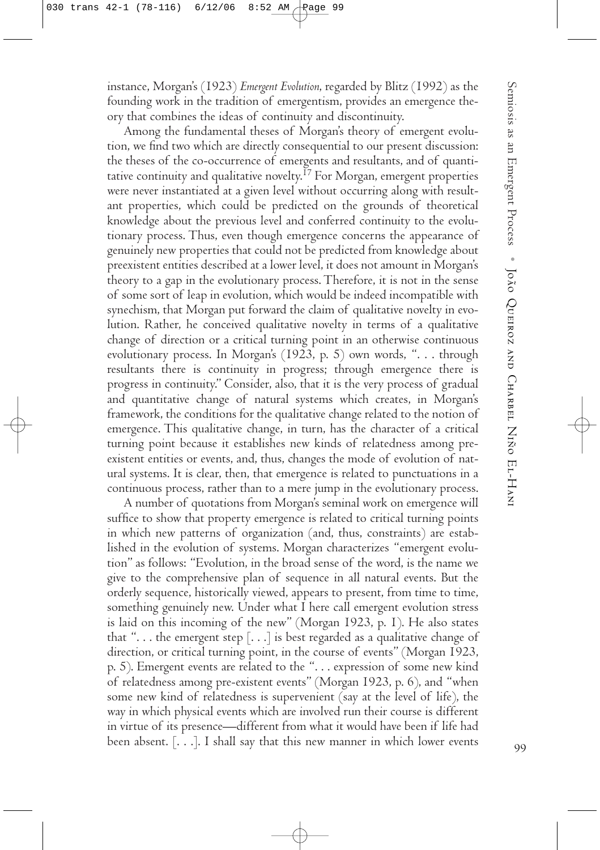instance, Morgan's (1923) *Emergent Evolution*, regarded by Blitz (1992) as the founding work in the tradition of emergentism, provides an emergence theory that combines the ideas of continuity and discontinuity.

Among the fundamental theses of Morgan's theory of emergent evolution, we find two which are directly consequential to our present discussion: the theses of the co-occurrence of emergents and resultants, and of quantitative continuity and qualitative novelty.<sup> $17$ </sup> For Morgan, emergent properties were never instantiated at a given level without occurring along with resultant properties, which could be predicted on the grounds of theoretical knowledge about the previous level and conferred continuity to the evolutionary process. Thus, even though emergence concerns the appearance of genuinely new properties that could not be predicted from knowledge about preexistent entities described at a lower level, it does not amount in Morgan's theory to a gap in the evolutionary process. Therefore, it is not in the sense of some sort of leap in evolution, which would be indeed incompatible with synechism, that Morgan put forward the claim of qualitative novelty in evolution. Rather, he conceived qualitative novelty in terms of a qualitative change of direction or a critical turning point in an otherwise continuous evolutionary process. In Morgan's (1923, p. 5) own words, ". . . through resultants there is continuity in progress; through emergence there is progress in continuity." Consider, also, that it is the very process of gradual and quantitative change of natural systems which creates, in Morgan's framework, the conditions for the qualitative change related to the notion of emergence. This qualitative change, in turn, has the character of a critical turning point because it establishes new kinds of relatedness among preexistent entities or events, and, thus, changes the mode of evolution of natural systems. It is clear, then, that emergence is related to punctuations in a continuous process, rather than to a mere jump in the evolutionary process.

A number of quotations from Morgan's seminal work on emergence will suffice to show that property emergence is related to critical turning points in which new patterns of organization (and, thus, constraints) are established in the evolution of systems. Morgan characterizes "emergent evolution" as follows: "Evolution, in the broad sense of the word, is the name we give to the comprehensive plan of sequence in all natural events. But the orderly sequence, historically viewed, appears to present, from time to time, something genuinely new. Under what I here call emergent evolution stress is laid on this incoming of the new" (Morgan 1923, p. 1). He also states that "... the emergent step  $[...]$  is best regarded as a qualitative change of direction, or critical turning point, in the course of events" (Morgan 1923, p. 5). Emergent events are related to the ". . . expression of some new kind of relatedness among pre-existent events" (Morgan 1923, p. 6), and "when some new kind of relatedness is supervenient (say at the level of life), the way in which physical events which are involved run their course is different in virtue of its presence—different from what it would have been if life had been absent. [. . .]. I shall say that this new manner in which lower events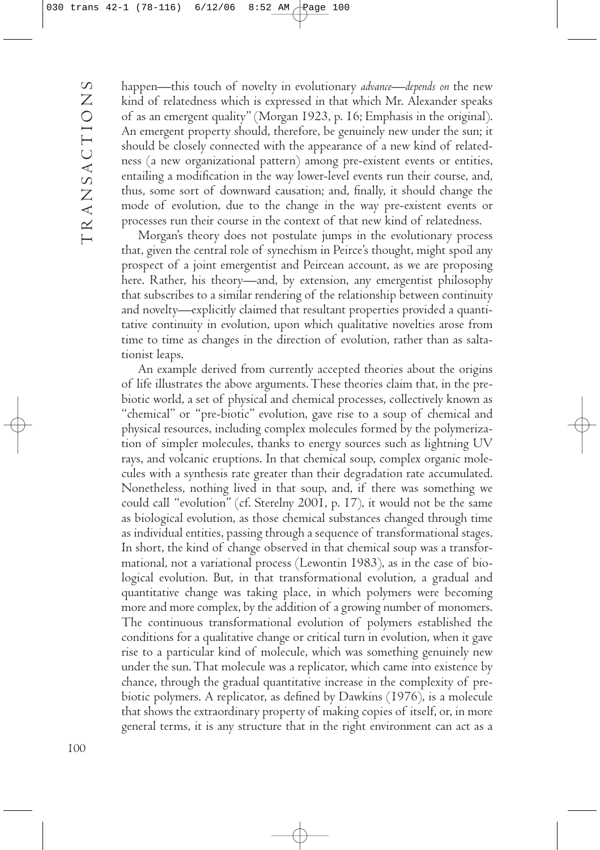happen—this touch of novelty in evolutionary *advance*—*depends on* the new kind of relatedness which is expressed in that which Mr. Alexander speaks of as an emergent quality" (Morgan 1923, p. 16; Emphasis in the original). An emergent property should, therefore, be genuinely new under the sun; it should be closely connected with the appearance of a new kind of relatedness (a new organizational pattern) among pre-existent events or entities, entailing a modification in the way lower-level events run their course, and, thus, some sort of downward causation; and, finally, it should change the mode of evolution, due to the change in the way pre-existent events or processes run their course in the context of that new kind of relatedness.

Morgan's theory does not postulate jumps in the evolutionary process that, given the central role of synechism in Peirce's thought, might spoil any prospect of a joint emergentist and Peircean account, as we are proposing here. Rather, his theory—and, by extension, any emergentist philosophy that subscribes to a similar rendering of the relationship between continuity and novelty—explicitly claimed that resultant properties provided a quantitative continuity in evolution, upon which qualitative novelties arose from time to time as changes in the direction of evolution, rather than as saltationist leaps.

An example derived from currently accepted theories about the origins of life illustrates the above arguments. These theories claim that, in the prebiotic world, a set of physical and chemical processes, collectively known as "chemical" or "pre-biotic" evolution, gave rise to a soup of chemical and physical resources, including complex molecules formed by the polymerization of simpler molecules, thanks to energy sources such as lightning UV rays, and volcanic eruptions. In that chemical soup, complex organic molecules with a synthesis rate greater than their degradation rate accumulated. Nonetheless, nothing lived in that soup, and, if there was something we could call "evolution" (cf. Sterelny 2001, p. 17), it would not be the same as biological evolution, as those chemical substances changed through time as individual entities, passing through a sequence of transformational stages. In short, the kind of change observed in that chemical soup was a transformational, not a variational process (Lewontin 1983), as in the case of biological evolution. But, in that transformational evolution, a gradual and quantitative change was taking place, in which polymers were becoming more and more complex, by the addition of a growing number of monomers. The continuous transformational evolution of polymers established the conditions for a qualitative change or critical turn in evolution, when it gave rise to a particular kind of molecule, which was something genuinely new under the sun. That molecule was a replicator, which came into existence by chance, through the gradual quantitative increase in the complexity of prebiotic polymers. A replicator, as defined by Dawkins (1976), is a molecule that shows the extraordinary property of making copies of itself, or, in more general terms, it is any structure that in the right environment can act as a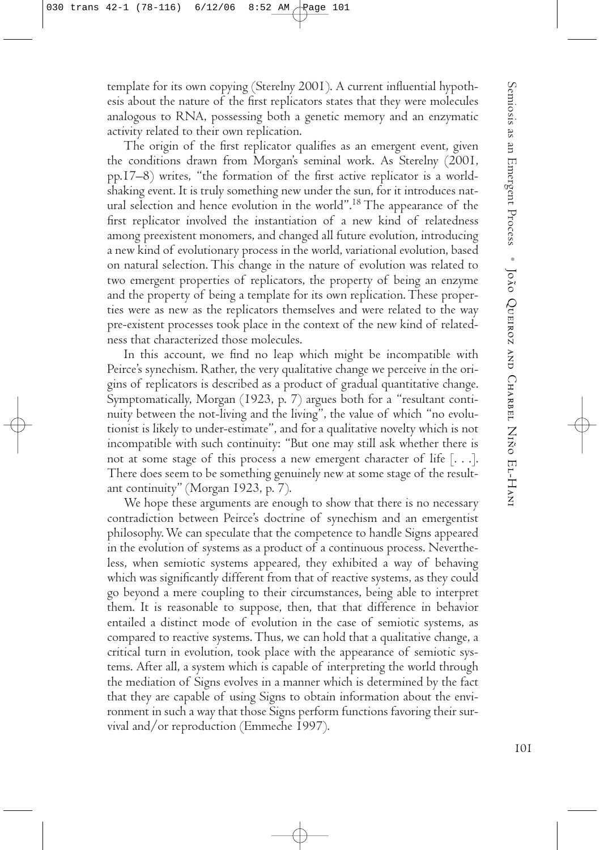template for its own copying (Sterelny 2001). A current influential hypothesis about the nature of the first replicators states that they were molecules analogous to RNA, possessing both a genetic memory and an enzymatic activity related to their own replication.

The origin of the first replicator qualifies as an emergent event, given the conditions drawn from Morgan's seminal work. As Sterelny (2001, pp.17–8) writes, "the formation of the first active replicator is a worldshaking event. It is truly something new under the sun, for it introduces natural selection and hence evolution in the world".18 The appearance of the first replicator involved the instantiation of a new kind of relatedness among preexistent monomers, and changed all future evolution, introducing a new kind of evolutionary process in the world, variational evolution, based on natural selection. This change in the nature of evolution was related to two emergent properties of replicators, the property of being an enzyme and the property of being a template for its own replication. These properties were as new as the replicators themselves and were related to the way pre-existent processes took place in the context of the new kind of relatedness that characterized those molecules.

In this account, we find no leap which might be incompatible with Peirce's synechism. Rather, the very qualitative change we perceive in the origins of replicators is described as a product of gradual quantitative change. Symptomatically, Morgan (1923, p. 7) argues both for a "resultant continuity between the not-living and the living", the value of which "no evolutionist is likely to under-estimate", and for a qualitative novelty which is not incompatible with such continuity: "But one may still ask whether there is not at some stage of this process a new emergent character of life  $[\ldots]$ . There does seem to be something genuinely new at some stage of the resultant continuity" (Morgan 1923, p. 7).

We hope these arguments are enough to show that there is no necessary contradiction between Peirce's doctrine of synechism and an emergentist philosophy. We can speculate that the competence to handle Signs appeared in the evolution of systems as a product of a continuous process. Nevertheless, when semiotic systems appeared, they exhibited a way of behaving which was significantly different from that of reactive systems, as they could go beyond a mere coupling to their circumstances, being able to interpret them. It is reasonable to suppose, then, that that difference in behavior entailed a distinct mode of evolution in the case of semiotic systems, as compared to reactive systems. Thus, we can hold that a qualitative change, a critical turn in evolution, took place with the appearance of semiotic systems. After all, a system which is capable of interpreting the world through the mediation of Signs evolves in a manner which is determined by the fact that they are capable of using Signs to obtain information about the environment in such a way that those Signs perform functions favoring their survival and/or reproduction (Emmeche 1997).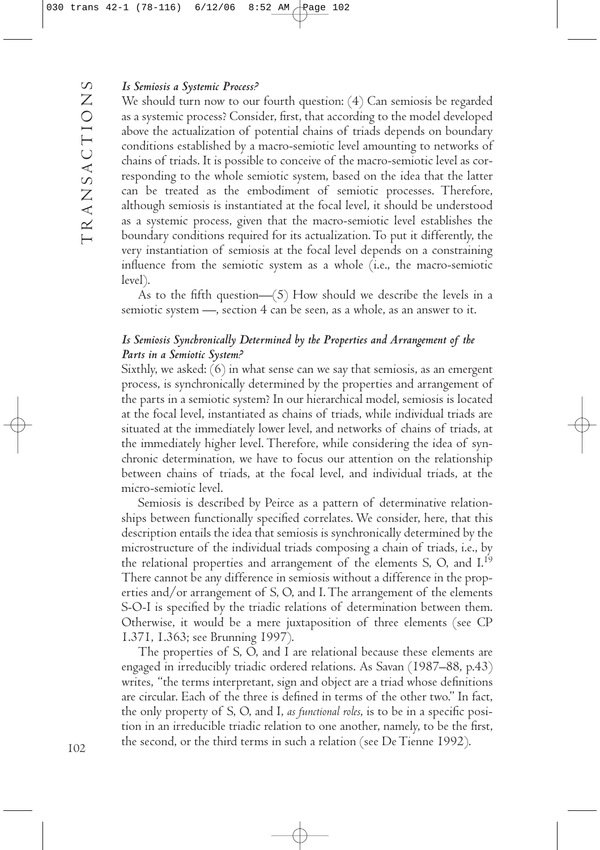#### *Is Semiosis a Systemic Process?*

We should turn now to our fourth question: (4) Can semiosis be regarded as a systemic process? Consider, first, that according to the model developed above the actualization of potential chains of triads depends on boundary conditions established by a macro-semiotic level amounting to networks of chains of triads. It is possible to conceive of the macro-semiotic level as corresponding to the whole semiotic system, based on the idea that the latter can be treated as the embodiment of semiotic processes. Therefore, although semiosis is instantiated at the focal level, it should be understood as a systemic process, given that the macro-semiotic level establishes the boundary conditions required for its actualization. To put it differently, the very instantiation of semiosis at the focal level depends on a constraining influence from the semiotic system as a whole (i.e., the macro-semiotic level).

As to the fifth question—(5) How should we describe the levels in a semiotic system —, section 4 can be seen, as a whole, as an answer to it.

# *Is Semiosis Synchronically Determined by the Properties and Arrangement of the Parts in a Semiotic System?*

Sixthly, we asked: (6) in what sense can we say that semiosis, as an emergent process, is synchronically determined by the properties and arrangement of the parts in a semiotic system? In our hierarchical model, semiosis is located at the focal level, instantiated as chains of triads, while individual triads are situated at the immediately lower level, and networks of chains of triads, at the immediately higher level. Therefore, while considering the idea of synchronic determination, we have to focus our attention on the relationship between chains of triads, at the focal level, and individual triads, at the micro-semiotic level.

Semiosis is described by Peirce as a pattern of determinative relationships between functionally specified correlates. We consider, here, that this description entails the idea that semiosis is synchronically determined by the microstructure of the individual triads composing a chain of triads, i.e., by the relational properties and arrangement of the elements S, O, and  $I^{19}$ There cannot be any difference in semiosis without a difference in the properties and/or arrangement of S, O, and I. The arrangement of the elements S-O-I is specified by the triadic relations of determination between them. Otherwise, it would be a mere juxtaposition of three elements (see CP 1.371, 1.363; see Brunning 1997).

The properties of S, O, and I are relational because these elements are engaged in irreducibly triadic ordered relations. As Savan (1987–88, p.43) writes, "the terms interpretant, sign and object are a triad whose definitions are circular. Each of the three is defined in terms of the other two." In fact, the only property of S, O, and I, *as functional roles*, is to be in a specific position in an irreducible triadic relation to one another, namely, to be the first, the second, or the third terms in such a relation (see De Tienne 1992).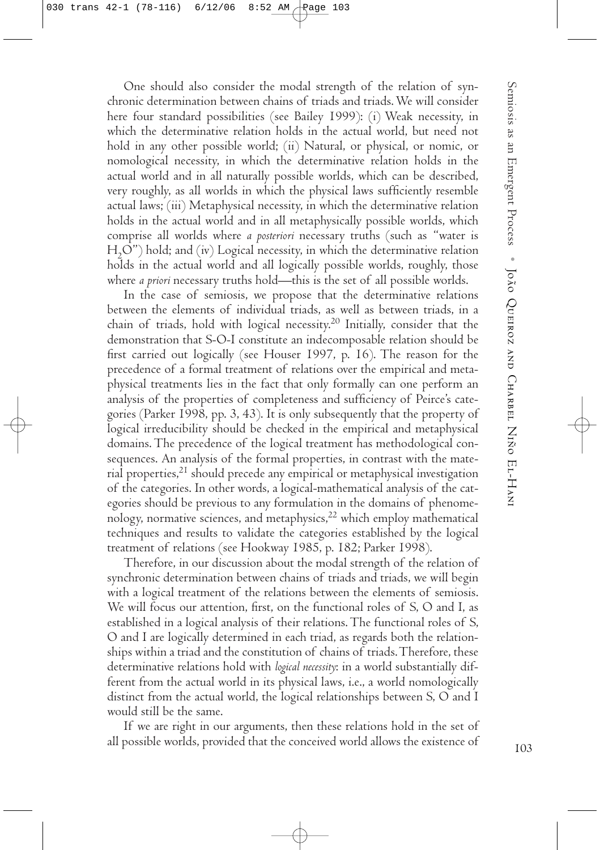One should also consider the modal strength of the relation of synchronic determination between chains of triads and triads. We will consider here four standard possibilities (see Bailey 1999): (i) Weak necessity, in which the determinative relation holds in the actual world, but need not hold in any other possible world; (ii) Natural, or physical, or nomic, or nomological necessity, in which the determinative relation holds in the actual world and in all naturally possible worlds, which can be described, very roughly, as all worlds in which the physical laws sufficiently resemble actual laws; (iii) Metaphysical necessity, in which the determinative relation holds in the actual world and in all metaphysically possible worlds, which comprise all worlds where *a posteriori* necessary truths (such as "water is H2 O") hold; and (iv) Logical necessity, in which the determinative relation holds in the actual world and all logically possible worlds, roughly, those where *a priori* necessary truths hold—this is the set of all possible worlds.

In the case of semiosis, we propose that the determinative relations between the elements of individual triads, as well as between triads, in a chain of triads, hold with logical necessity.20 Initially, consider that the demonstration that S-O-I constitute an indecomposable relation should be first carried out logically (see Houser 1997, p. 16). The reason for the precedence of a formal treatment of relations over the empirical and metaphysical treatments lies in the fact that only formally can one perform an analysis of the properties of completeness and sufficiency of Peirce's categories (Parker 1998, pp. 3, 43). It is only subsequently that the property of logical irreducibility should be checked in the empirical and metaphysical domains. The precedence of the logical treatment has methodological consequences. An analysis of the formal properties, in contrast with the material properties,<sup>21</sup> should precede any empirical or metaphysical investigation of the categories. In other words, a logical-mathematical analysis of the categories should be previous to any formulation in the domains of phenomenology, normative sciences, and metaphysics,<sup>22</sup> which employ mathematical techniques and results to validate the categories established by the logical treatment of relations (see Hookway 1985, p. 182; Parker 1998).

Therefore, in our discussion about the modal strength of the relation of synchronic determination between chains of triads and triads, we will begin with a logical treatment of the relations between the elements of semiosis. We will focus our attention, first, on the functional roles of S, O and I, as established in a logical analysis of their relations. The functional roles of S, O and I are logically determined in each triad, as regards both the relationships within a triad and the constitution of chains of triads. Therefore, these determinative relations hold with *logical necessity*: in a world substantially different from the actual world in its physical laws, i.e., a world nomologically distinct from the actual world, the logical relationships between S, O and I would still be the same.

If we are right in our arguments, then these relations hold in the set of all possible worlds, provided that the conceived world allows the existence of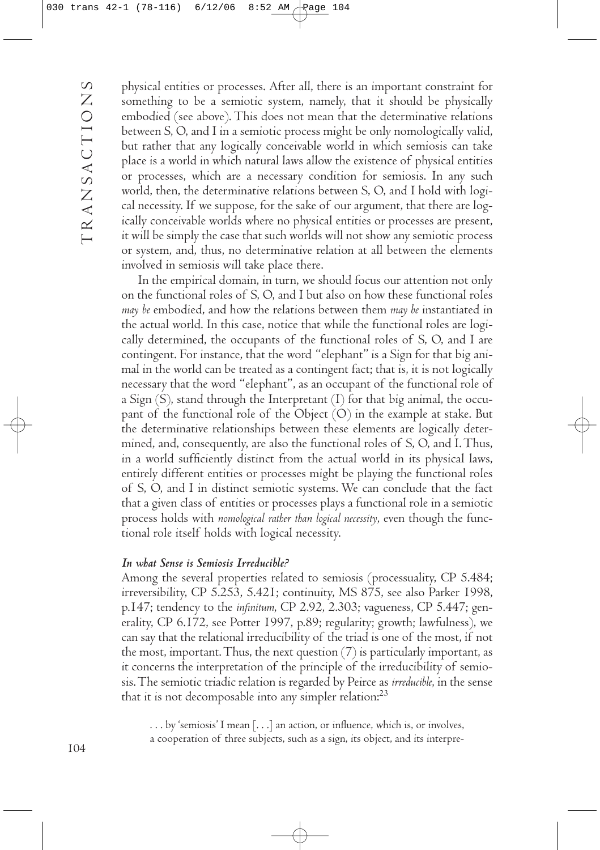physical entities or processes. After all, there is an important constraint for something to be a semiotic system, namely, that it should be physically embodied (see above). This does not mean that the determinative relations between S, O, and I in a semiotic process might be only nomologically valid, but rather that any logically conceivable world in which semiosis can take place is a world in which natural laws allow the existence of physical entities or processes, which are a necessary condition for semiosis. In any such world, then, the determinative relations between S, O, and I hold with logical necessity. If we suppose, for the sake of our argument, that there are logically conceivable worlds where no physical entities or processes are present, it will be simply the case that such worlds will not show any semiotic process or system, and, thus, no determinative relation at all between the elements involved in semiosis will take place there.

In the empirical domain, in turn, we should focus our attention not only on the functional roles of S, O, and I but also on how these functional roles *may be* embodied, and how the relations between them *may be* instantiated in the actual world. In this case, notice that while the functional roles are logically determined, the occupants of the functional roles of S, O, and I are contingent. For instance, that the word "elephant" is a Sign for that big animal in the world can be treated as a contingent fact; that is, it is not logically necessary that the word "elephant", as an occupant of the functional role of a Sign (S), stand through the Interpretant (I) for that big animal, the occupant of the functional role of the Object (O) in the example at stake. But the determinative relationships between these elements are logically determined, and, consequently, are also the functional roles of S, O, and I. Thus, in a world sufficiently distinct from the actual world in its physical laws, entirely different entities or processes might be playing the functional roles of S, O, and I in distinct semiotic systems. We can conclude that the fact that a given class of entities or processes plays a functional role in a semiotic process holds with *nomological rather than logical necessity*, even though the functional role itself holds with logical necessity.

## *In what Sense is Semiosis Irreducible?*

Among the several properties related to semiosis (processuality, CP 5.484; irreversibility, CP 5.253, 5.421; continuity, MS 875, see also Parker 1998, p.147; tendency to the *infinitum*, CP 2.92, 2.303; vagueness, CP 5.447; generality, CP 6.172, see Potter 1997, p.89; regularity; growth; lawfulness), we can say that the relational irreducibility of the triad is one of the most, if not the most, important. Thus, the next question  $(7)$  is particularly important, as it concerns the interpretation of the principle of the irreducibility of semiosis. The semiotic triadic relation is regarded by Peirce as *irreducible*, in the sense that it is not decomposable into any simpler relation: $^{23}$ 

... by 'semiosis' I mean [. . .] an action, or influence, which is, or involves, a cooperation of three subjects, such as a sign, its object, and its interpre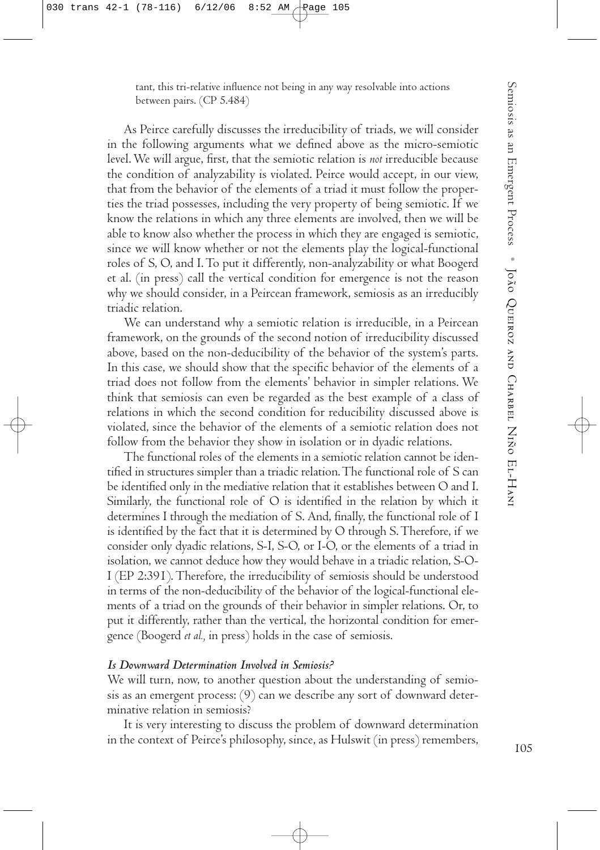tant, this tri-relative influence not being in any way resolvable into actions between pairs. (CP 5.484)

As Peirce carefully discusses the irreducibility of triads, we will consider in the following arguments what we defined above as the micro-semiotic level. We will argue, first, that the semiotic relation is *not* irreducible because the condition of analyzability is violated. Peirce would accept, in our view, that from the behavior of the elements of a triad it must follow the properties the triad possesses, including the very property of being semiotic. If we know the relations in which any three elements are involved, then we will be able to know also whether the process in which they are engaged is semiotic, since we will know whether or not the elements play the logical-functional roles of S, O, and I. To put it differently, non-analyzability or what Boogerd et al. (in press) call the vertical condition for emergence is not the reason why we should consider, in a Peircean framework, semiosis as an irreducibly triadic relation.

We can understand why a semiotic relation is irreducible, in a Peircean framework, on the grounds of the second notion of irreducibility discussed above, based on the non-deducibility of the behavior of the system's parts. In this case, we should show that the specific behavior of the elements of a triad does not follow from the elements' behavior in simpler relations. We think that semiosis can even be regarded as the best example of a class of relations in which the second condition for reducibility discussed above is violated, since the behavior of the elements of a semiotic relation does not follow from the behavior they show in isolation or in dyadic relations.

The functional roles of the elements in a semiotic relation cannot be identified in structures simpler than a triadic relation. The functional role of S can be identified only in the mediative relation that it establishes between O and I. Similarly, the functional role of O is identified in the relation by which it determines I through the mediation of S. And, finally, the functional role of I is identified by the fact that it is determined by O through S. Therefore, if we consider only dyadic relations, S-I, S-O, or I-O, or the elements of a triad in isolation, we cannot deduce how they would behave in a triadic relation, S-O-I (EP 2:391). Therefore, the irreducibility of semiosis should be understood in terms of the non-deducibility of the behavior of the logical-functional elements of a triad on the grounds of their behavior in simpler relations. Or, to put it differently, rather than the vertical, the horizontal condition for emergence (Boogerd *et al.,* in press) holds in the case of semiosis.

### *Is Downward Determination Involved in Semiosis?*

We will turn, now, to another question about the understanding of semiosis as an emergent process: (9) can we describe any sort of downward determinative relation in semiosis?

It is very interesting to discuss the problem of downward determination in the context of Peirce's philosophy, since, as Hulswit (in press) remembers,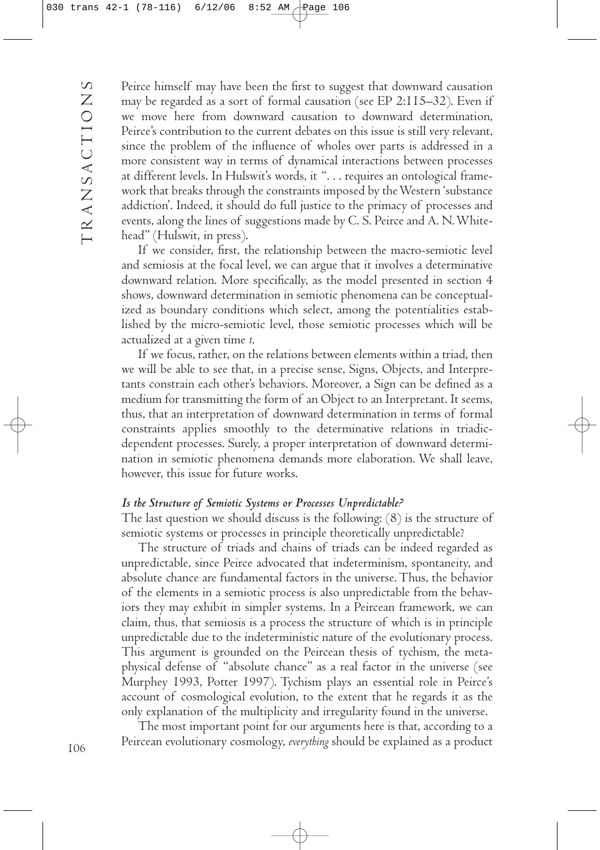Peirce himself may have been the first to suggest that downward causation may be regarded as a sort of formal causation (see EP 2:115–32). Even if we move here from downward causation to downward determination, Peirce's contribution to the current debates on this issue is still very relevant, since the problem of the influence of wholes over parts is addressed in a more consistent way in terms of dynamical interactions between processes at different levels. In Hulswit's words, it ". . . requires an ontological framework that breaks through the constraints imposed by the Western 'substance addiction'. Indeed, it should do full justice to the primacy of processes and events, along the lines of suggestions made by C. S. Peirce and A. N. Whitehead" (Hulswit, in press).

If we consider, first, the relationship between the macro-semiotic level and semiosis at the focal level, we can argue that it involves a determinative downward relation. More specifically, as the model presented in section 4 shows, downward determination in semiotic phenomena can be conceptualized as boundary conditions which select, among the potentialities established by the micro-semiotic level, those semiotic processes which will be actualized at a given time *t*.

If we focus, rather, on the relations between elements within a triad, then we will be able to see that, in a precise sense, Signs, Objects, and Interpretants constrain each other's behaviors. Moreover, a Sign can be defined as a medium for transmitting the form of an Object to an Interpretant. It seems, thus, that an interpretation of downward determination in terms of formal constraints applies smoothly to the determinative relations in triadicdependent processes. Surely, a proper interpretation of downward determination in semiotic phenomena demands more elaboration. We shall leave, however, this issue for future works.

#### *Is the Structure of Semiotic Systems or Processes Unpredictable?*

The last question we should discuss is the following: (8) is the structure of semiotic systems or processes in principle theoretically unpredictable?

The structure of triads and chains of triads can be indeed regarded as unpredictable, since Peirce advocated that indeterminism, spontaneity, and absolute chance are fundamental factors in the universe. Thus, the behavior of the elements in a semiotic process is also unpredictable from the behaviors they may exhibit in simpler systems. In a Peircean framework, we can claim, thus, that semiosis is a process the structure of which is in principle unpredictable due to the indeterministic nature of the evolutionary process. This argument is grounded on the Peircean thesis of tychism, the metaphysical defense of "absolute chance" as a real factor in the universe (see Murphey 1993, Potter 1997). Tychism plays an essential role in Peirce's account of cosmological evolution, to the extent that he regards it as the only explanation of the multiplicity and irregularity found in the universe.

The most important point for our arguments here is that, according to a Peircean evolutionary cosmology, *everything* should be explained as a product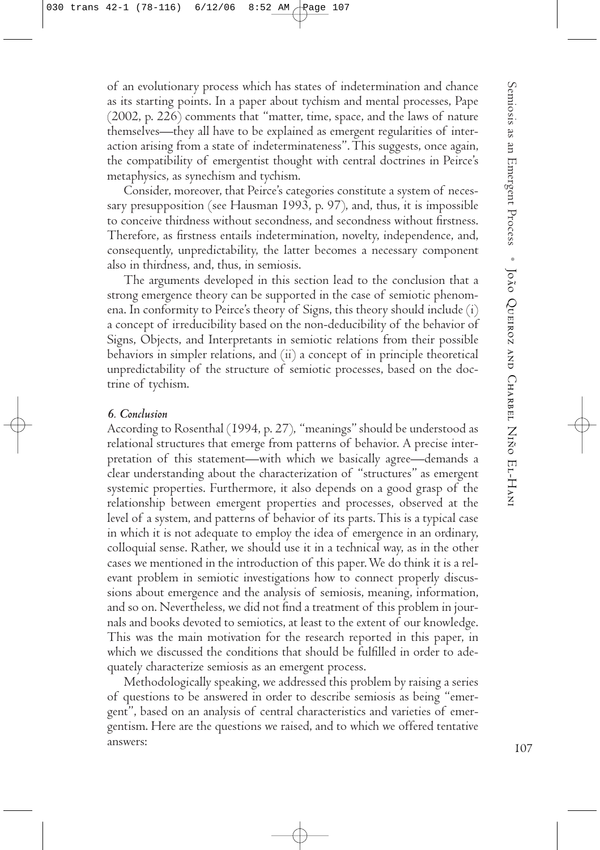of an evolutionary process which has states of indetermination and chance as its starting points. In a paper about tychism and mental processes, Pape (2002, p. 226) comments that "matter, time, space, and the laws of nature themselves—they all have to be explained as emergent regularities of interaction arising from a state of indeterminateness". This suggests, once again, the compatibility of emergentist thought with central doctrines in Peirce's metaphysics, as synechism and tychism.

Consider, moreover, that Peirce's categories constitute a system of necessary presupposition (see Hausman 1993, p. 97), and, thus, it is impossible to conceive thirdness without secondness, and secondness without firstness. Therefore, as firstness entails indetermination, novelty, independence, and, consequently, unpredictability, the latter becomes a necessary component also in thirdness, and, thus, in semiosis.

The arguments developed in this section lead to the conclusion that a strong emergence theory can be supported in the case of semiotic phenomena. In conformity to Peirce's theory of Signs, this theory should include (i) a concept of irreducibility based on the non-deducibility of the behavior of Signs, Objects, and Interpretants in semiotic relations from their possible behaviors in simpler relations, and (ii) a concept of in principle theoretical unpredictability of the structure of semiotic processes, based on the doctrine of tychism.

### *6. Conclusion*

According to Rosenthal (1994, p. 27), "meanings" should be understood as relational structures that emerge from patterns of behavior. A precise interpretation of this statement—with which we basically agree—demands a clear understanding about the characterization of "structures" as emergent systemic properties. Furthermore, it also depends on a good grasp of the relationship between emergent properties and processes, observed at the level of a system, and patterns of behavior of its parts. This is a typical case in which it is not adequate to employ the idea of emergence in an ordinary, colloquial sense. Rather, we should use it in a technical way, as in the other cases we mentioned in the introduction of this paper. We do think it is a relevant problem in semiotic investigations how to connect properly discussions about emergence and the analysis of semiosis, meaning, information, and so on. Nevertheless, we did not find a treatment of this problem in journals and books devoted to semiotics, at least to the extent of our knowledge. This was the main motivation for the research reported in this paper, in which we discussed the conditions that should be fulfilled in order to adequately characterize semiosis as an emergent process.

Methodologically speaking, we addressed this problem by raising a series of questions to be answered in order to describe semiosis as being "emergent", based on an analysis of central characteristics and varieties of emergentism. Here are the questions we raised, and to which we offered tentative answers: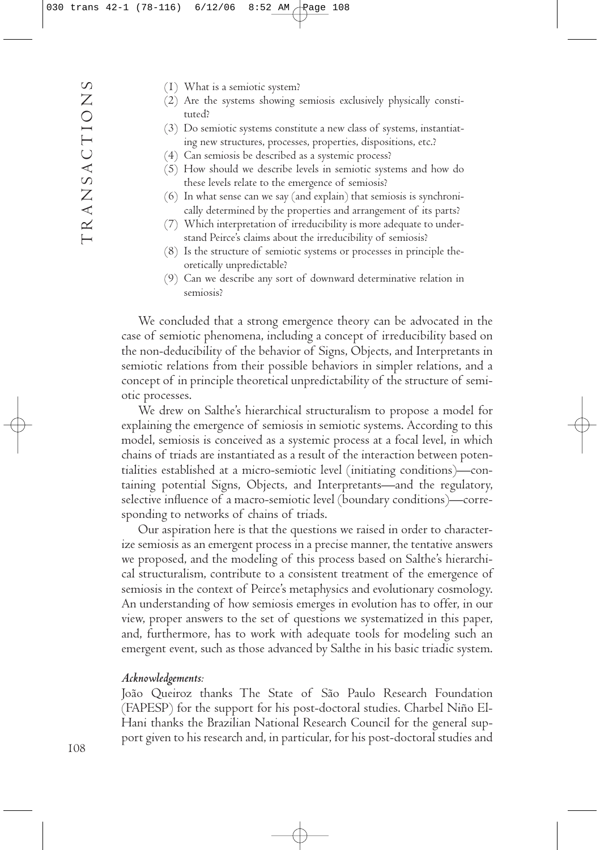- (1) What is a semiotic system?
- (2) Are the systems showing semiosis exclusively physically constituted?
- (3) Do semiotic systems constitute a new class of systems, instantiating new structures, processes, properties, dispositions, etc.?
- (4) Can semiosis be described as a systemic process?
- (5) How should we describe levels in semiotic systems and how do these levels relate to the emergence of semiosis?
- (6) In what sense can we say (and explain) that semiosis is synchronically determined by the properties and arrangement of its parts?
- (7) Which interpretation of irreducibility is more adequate to understand Peirce's claims about the irreducibility of semiosis?
- (8) Is the structure of semiotic systems or processes in principle theoretically unpredictable?
- (9) Can we describe any sort of downward determinative relation in semiosis?

We concluded that a strong emergence theory can be advocated in the case of semiotic phenomena, including a concept of irreducibility based on the non-deducibility of the behavior of Signs, Objects, and Interpretants in semiotic relations from their possible behaviors in simpler relations, and a concept of in principle theoretical unpredictability of the structure of semiotic processes.

We drew on Salthe's hierarchical structuralism to propose a model for explaining the emergence of semiosis in semiotic systems. According to this model, semiosis is conceived as a systemic process at a focal level, in which chains of triads are instantiated as a result of the interaction between potentialities established at a micro-semiotic level (initiating conditions)—containing potential Signs, Objects, and Interpretants—and the regulatory, selective influence of a macro-semiotic level (boundary conditions)—corresponding to networks of chains of triads.

Our aspiration here is that the questions we raised in order to characterize semiosis as an emergent process in a precise manner, the tentative answers we proposed, and the modeling of this process based on Salthe's hierarchical structuralism, contribute to a consistent treatment of the emergence of semiosis in the context of Peirce's metaphysics and evolutionary cosmology. An understanding of how semiosis emerges in evolution has to offer, in our view, proper answers to the set of questions we systematized in this paper, and, furthermore, has to work with adequate tools for modeling such an emergent event, such as those advanced by Salthe in his basic triadic system.

#### *Acknowledgements:*

João Queiroz thanks The State of São Paulo Research Foundation (FAPESP) for the support for his post-doctoral studies. Charbel Niño El-Hani thanks the Brazilian National Research Council for the general support given to his research and, in particular, for his post-doctoral studies and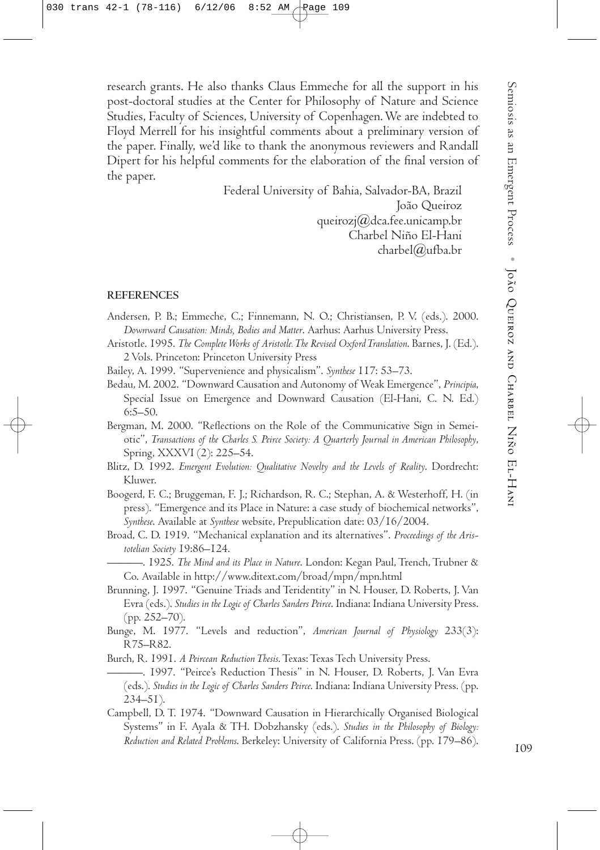research grants. He also thanks Claus Emmeche for all the support in his post-doctoral studies at the Center for Philosophy of Nature and Science Studies, Faculty of Sciences, University of Copenhagen. We are indebted to Floyd Merrell for his insightful comments about a preliminary version of the paper. Finally, we'd like to thank the anonymous reviewers and Randall Dipert for his helpful comments for the elaboration of the final version of the paper.

> Federal University of Bahia, Salvador-BA, Brazil João Queiroz queirozj $(\partial_{\alpha})$ dca.fee.unicamp.br Charbel Niño El-Hani charbel@ufba.br

#### **REFERENCES**

- Andersen, P. B.; Emmeche, C.; Finnemann, N. O.; Christiansen, P. V. (eds.). 2000. *Downward Causation: Minds, Bodies and Matter*. Aarhus: Aarhus University Press.
- Aristotle. 1995. *The Complete Works of Aristotle. The Revised Oxford Translation*. Barnes, J. (Ed.). 2 Vols. Princeton: Princeton University Press
- Bailey, A. 1999. "Supervenience and physicalism". *Synthese* 117: 53–73.
- Bedau, M. 2002. "Downward Causation and Autonomy of Weak Emergence", *Principia*, Special Issue on Emergence and Downward Causation (El-Hani, C. N. Ed.)  $6:5-50.$
- Bergman, M. 2000. "Reflections on the Role of the Communicative Sign in Semeiotic", *Transactions of the Charles S. Peirce Society: A Quarterly Journal in American Philosophy*, Spring, XXXVI (2): 225–54.
- Blitz, D. 1992. *Emergent Evolution: Qualitative Novelty and the Levels of Reality*. Dordrecht: Kluwer.
- Boogerd, F. C.; Bruggeman, F. J.; Richardson, R. C.; Stephan, A. & Westerhoff, H. (in press). "Emergence and its Place in Nature: a case study of biochemical networks", *Synthese*. Available at *Synthese* website, Prepublication date: 03/16/2004.
- Broad, C. D. 1919. "Mechanical explanation and its alternatives". *Proceedings of the Aristotelian Society* 19:86–124.
	- ———. 1925. *The Mind and its Place in Nature*. London: Kegan Paul, Trench, Trubner & Co. Available in http://www.ditext.com/broad/mpn/mpn.html
- Brunning, J. 1997. "Genuine Triads and Teridentity" in N. Houser, D. Roberts, J. Van Evra (eds.). *Studies in the Logic of Charles Sanders Peirce*. Indiana: Indiana University Press. (pp. 252–70).
- Bunge, M. 1977. "Levels and reduction", *American Journal of Physiology* 233(3): R75–R82.
- Burch, R. 1991. *A Peircean Reduction Thesis*. Texas: Texas Tech University Press.
- ———. 1997. "Peirce's Reduction Thesis" in N. Houser, D. Roberts, J. Van Evra (eds.). *Studies in the Logic of Charles Sanders Peirce*. Indiana: Indiana University Press. (pp.  $234 - 51$ ).
- Campbell, D. T. 1974. "Downward Causation in Hierarchically Organised Biological Systems" in F. Ayala & TH. Dobzhansky (eds.). *Studies in the Philosophy of Biology: Reduction and Related Problems*. Berkeley: University of California Press. (pp. 179–86).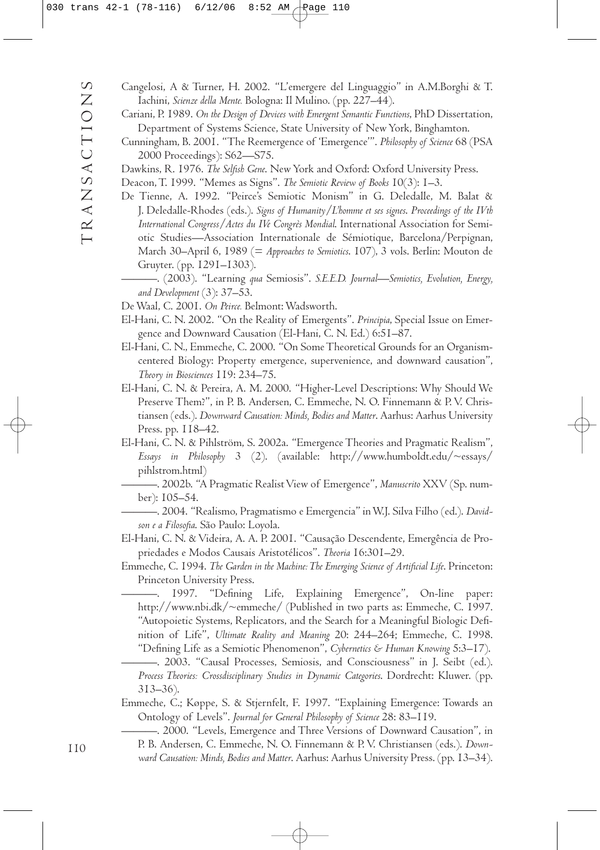- Cangelosi, A & Turner, H. 2002. "L'emergere del Linguaggio" in A.M.Borghi & T. Iachini, *Scienze della Mente.* Bologna: Il Mulino. (pp. 227–44).
- Cariani, P. 1989. *On the Design of Devices with Emergent Semantic Functions*, PhD Dissertation, Department of Systems Science, State University of New York, Binghamton.
- Cunningham, B. 2001. "The Reemergence of 'Emergence'". *Philosophy of Science* 68 (PSA 2000 Proceedings): S62—S75.
- Dawkins, R. 1976. *The Selfish Gene*. New York and Oxford: Oxford University Press.
- Deacon, T. 1999. "Memes as Signs". *The Semiotic Review of Books* 10(3): 1–3.
- De Tienne, A. 1992. "Peirce's Semiotic Monism" in G. Deledalle, M. Balat & J. Deledalle-Rhodes (eds.). *Signs of Humanity/L'homme et ses signes*. *Proceedings of the IVth International Congress/Actes du IVe Congrès Mondial*. International Association for Semiotic Studies—Association Internationale de Sémiotique, Barcelona/Perpignan, March 30–April 6, 1989 (= *Approaches to Semiotics*. 107), 3 vols. Berlin: Mouton de Gruyter. (pp. 1291–1303).
	- ———. (2003). "Learning *qua* Semiosis". *S.E.E.D. Journal—Semiotics, Evolution, Energy, and Development* (3): 37–53.
- De Waal, C. 2001. *On Peirce.* Belmont: Wadsworth.
- El-Hani, C. N. 2002. "On the Reality of Emergents". *Principia*, Special Issue on Emergence and Downward Causation (El-Hani, C. N. Ed.) 6:51–87.
- El-Hani, C. N., Emmeche, C. 2000. "On Some Theoretical Grounds for an Organismcentered Biology: Property emergence, supervenience, and downward causation", *Theory in Biosciences* 119: 234–75.
- El-Hani, C. N. & Pereira, A. M. 2000. "Higher-Level Descriptions: Why Should We Preserve Them?", in P. B. Andersen, C. Emmeche, N. O. Finnemann & P. V. Christiansen (eds.). *Downward Causation: Minds, Bodies and Matter*. Aarhus: Aarhus University Press. pp. 118–42.
- El-Hani, C. N. & Pihlström, S. 2002a. "Emergence Theories and Pragmatic Realism", *Essays in Philosophy* 3 (2). (available: http://www.humboldt.edu/~essays/ pihlstrom.html)
	- ———. 2002b. "A Pragmatic Realist View of Emergence", *Manuscrito* XXV (Sp. number): 105–54.
	- ———. 2004. "Realismo, Pragmatismo e Emergencia" in W.J. Silva Filho (ed.). *Davidson e a Filosofia*. São Paulo: Loyola.
- El-Hani, C. N. & Videira, A. A. P. 2001. "Causação Descendente, Emergência de Propriedades e Modos Causais Aristotélicos". *Theoria* 16:301–29.
- Emmeche, C. 1994. *The Garden in the Machine: The Emerging Science of Artificial Life*. Princeton: Princeton University Press.
	- 1997. "Defining Life, Explaining Emergence", On-line paper: http://www.nbi.dk/~emmeche/ (Published in two parts as: Emmeche, C. 1997. "Autopoietic Systems, Replicators, and the Search for a Meaningful Biologic Definition of Life", *Ultimate Reality and Meaning* 20: 244–264; Emmeche, C. 1998. "Defining Life as a Semiotic Phenomenon", *Cybernetics & Human Knowing* 5:3–17).

———. 2003. "Causal Processes, Semiosis, and Consciousness" in J. Seibt (ed.). *Process Theories: Crossdisciplinary Studies in Dynamic Categories*. Dordrecht: Kluwer. (pp. 313–36).

Emmeche, C.; Køppe, S. & Stjernfelt, F. 1997. "Explaining Emergence: Towards an Ontology of Levels". *Journal for General Philosophy of Science* 28: 83–119.

———. 2000. "Levels, Emergence and Three Versions of Downward Causation", in P. B. Andersen, C. Emmeche, N. O. Finnemann & P. V. Christiansen (eds.). *Downward Causation: Minds, Bodies and Matter*. Aarhus: Aarhus University Press. (pp. 13–34).

110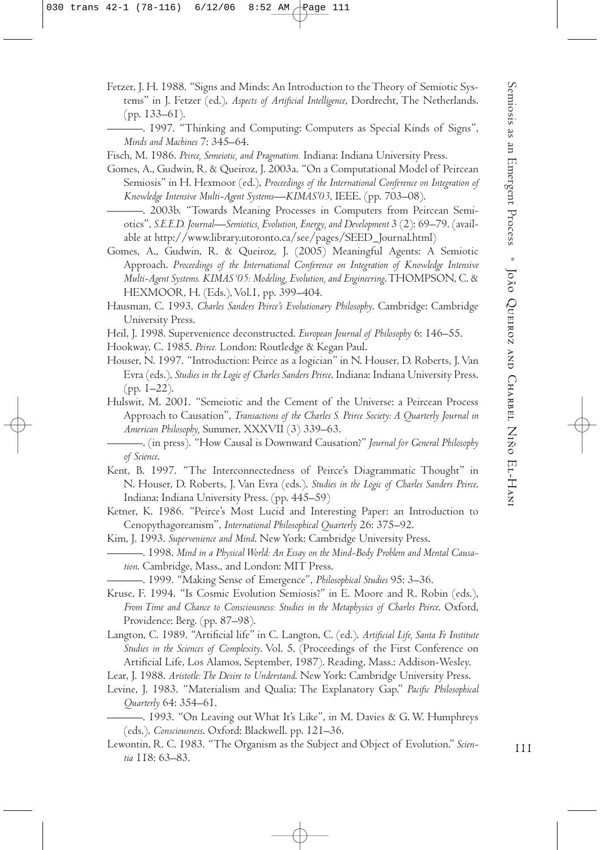- Fetzer, J. H. 1988. "Signs and Minds: An Introduction to the Theory of Semiotic Systems" in J. Fetzer (ed.), *Aspects of Artificial Intelligence*, Dordrecht, The Netherlands. (pp. 133–61).
	- ———. 1997. "Thinking and Computing: Computers as Special Kinds of Signs", *Minds and Machines* 7: 345–64.
- Fisch, M. 1986. *Peirce, Semeiotic, and Pragmatism.* Indiana: Indiana University Press.
- Gomes, A., Gudwin, R. & Queiroz, J. 2003a. "On a Computational Model of Peircean Semiosis" in H. Hexmoor (ed.), *Proceedings of the International Conference on Integration of Knowledge Intensive Multi-Agent Systems—KIMAS'03*, IEEE. (pp. 703–08).
	- ———. 2003b. "Towards Meaning Processes in Computers from Peircean Semiotics", *S.E.E.D. Journal—Semiotics, Evolution, Energy, and Development* 3 (2): 69–79. (available at http://www.library.utoronto.ca/see/pages/SEED\_Journal.html)
- Gomes, A., Gudwin, R. & Queiroz, J. (2005) Meaningful Agents: A Semiotic Approach. *Proceedings of the International Conference on Integration of Knowledge Intensive Multi-Agent Systems. KIMAS '05: Modeling, Evolution, and Engineering*. THOMPSON, C. & HEXMOOR, H. (Eds.), Vol.1, pp. 399–404.
- Hausman, C. 1993. *Charles Sanders Peirce's Evolutionary Philosophy*. Cambridge: Cambridge University Press.
- Heil, J. 1998. Supervenience deconstructed. *European Journal of Philosophy* 6: 146–55.
- Hookway, C. 1985. *Peirce.* London: Routledge & Kegan Paul.
- Houser, N. 1997. "Introduction: Peirce as a logician" in N. Houser, D. Roberts, J. Van Evra (eds.), *Studies in the Logic of Charles Sanders Peirce*. Indiana: Indiana University Press. (pp. 1–22).
- Hulswit, M. 2001. "Semeiotic and the Cement of the Universe: a Peircean Process Approach to Causation", *Transactions of the Charles S. Peirce Society: A Quarterly Journal in American Philosophy,* Summer, XXXVII (3) 339–63.
- ———. (in press). "How Causal is Downward Causation?" *Journal for General Philosophy of Science*.
- Kent, B. 1997. "The Interconnectedness of Peirce's Diagrammatic Thought" in N. Houser, D. Roberts, J. Van Evra (eds.). *Studies in the Logic of Charles Sanders Peirce*. Indiana: Indiana University Press. (pp. 445–59)
- Ketner, K. 1986. "Peirce's Most Lucid and Interesting Paper: an Introduction to Cenopythagoreanism", *International Philosophical Quarterly* 26: 375–92.

Kim, J. 1993. *Supervenience and Mind*. New York: Cambridge University Press.

———. 1998. *Mind in a Physical World: An Essay on the Mind-Body Problem and Mental Causation*. Cambridge, Mass., and London: MIT Press.

- Kruse, F. 1994. "Is Cosmic Evolution Semiosis?" in E. Moore and R. Robin (eds.), *From Time and Chance to Consciousness: Studies in the Metaphysics of Charles Peirce*. Oxford, Providence: Berg. (pp. 87–98).
- Langton, C. 1989. "Artificial life" in C. Langton, C. (ed.). *Artificial Life, Santa Fe Institute Studies in the Sciences of Complexity*. Vol. 5. (Proceedings of the First Conference on Artificial Life, Los Alamos, September, 1987). Reading, Mass.: Addison-Wesley.
- Lear, J. 1988. *Aristotle: The Desire to Understand*. New York: Cambridge University Press.
- Levine, J. 1983. "Materialism and Qualia: The Explanatory Gap." *Pacific Philosophical Quarterly* 64: 354–61.
	- ———. 1993. "On Leaving out What It's Like", in M. Davies & G. W. Humphreys (eds.). *Consciousness*. Oxford: Blackwell. pp. 121–36.
- Lewontin, R. C. 1983. "The Organism as the Subject and Object of Evolution." *Scientia* 118: 63–83.

<sup>———. 1999. &</sup>quot;Making Sense of Emergence", *Philosophical Studies* 95: 3–36.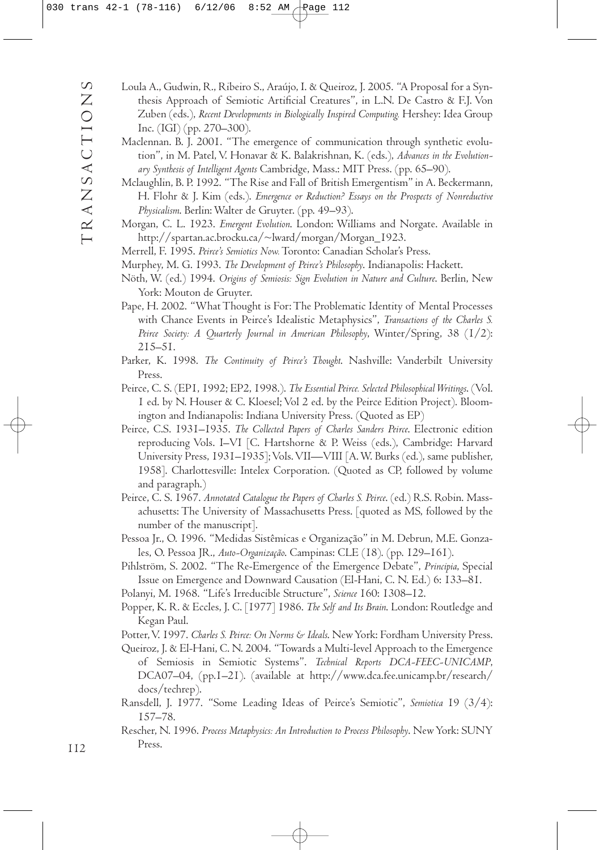- Loula A., Gudwin, R., Ribeiro S., Araújo, I. & Queiroz, J. 2005. "A Proposal for a Synthesis Approach of Semiotic Artificial Creatures", in L.N. De Castro & F.J. Von Zuben (eds.), *Recent Developments in Biologically Inspired Computing.* Hershey: Idea Group Inc. (IGI) (pp. 270–300).
- Maclennan. B. J. 2001. "The emergence of communication through synthetic evolution", in M. Patel, V. Honavar & K. Balakrishnan, K. (eds.), *Advances in the Evolutionary Synthesis of Intelligent Agents* Cambridge, Mass.: MIT Press. (pp. 65–90).
- Mclaughlin, B. P. 1992. "The Rise and Fall of British Emergentism" in A. Beckermann, H. Flohr & J. Kim (eds.). *Emergence or Reduction? Essays on the Prospects of Nonreductive Physicalism*. Berlin: Walter de Gruyter. (pp. 49–93).
- Morgan, C. L. 1923. *Emergent Evolution*. London: Williams and Norgate. Available in http://spartan.ac.brocku.ca/~lward/morgan/Morgan\_1923.
- Merrell, F. 1995. *Peirce's Semiotics Now.*Toronto: Canadian Scholar's Press.
- Murphey, M. G. 1993. *The Development of Peirce's Philosophy*. Indianapolis: Hackett.
- Nöth, W. (ed.) 1994. *Origins of Semiosis: Sign Evolution in Nature and Culture*. Berlin, New York: Mouton de Gruyter.
- Pape, H. 2002. "What Thought is For: The Problematic Identity of Mental Processes with Chance Events in Peirce's Idealistic Metaphysics", *Transactions of the Charles S. Peirce Society: A Quarterly Journal in American Philosophy*, Winter/Spring, 38 (1/2): 215–51.
- Parker, K. 1998. *The Continuity of Peirce's Thought*. Nashville: Vanderbilt University Press.
- Peirce, C. S. (EP1, 1992; EP2, 1998.). *The Essential Peirce. Selected Philosophical Writings*. (Vol. 1 ed. by N. Houser & C. Kloesel; Vol 2 ed. by the Peirce Edition Project). Bloomington and Indianapolis: Indiana University Press. (Quoted as EP)
- Peirce, C.S. 1931–1935. *The Collected Papers of Charles Sanders Peirce*. Electronic edition reproducing Vols. I–VI [C. Hartshorne & P. Weiss (eds.), Cambridge: Harvard University Press, 1931–1935]; Vols. VII—VIII [A. W. Burks (ed.), same publisher, 1958]. Charlottesville: Intelex Corporation. (Quoted as CP, followed by volume and paragraph.)
- Peirce, C. S. 1967. *Annotated Catalogue the Papers of Charles S. Peirce*. (ed.) R.S. Robin. Massachusetts: The University of Massachusetts Press. [quoted as MS, followed by the number of the manuscript].
- Pessoa Jr., O. 1996. "Medidas Sistêmicas e Organização" in M. Debrun, M.E. Gonzales, O. Pessoa JR., *Auto-Organização*. Campinas: CLE (18). (pp. 129–161).
- Pihlström, S. 2002. "The Re-Emergence of the Emergence Debate", *Principia*, Special Issue on Emergence and Downward Causation (El-Hani, C. N. Ed.) 6: 133–81.
- Polanyi, M. 1968. "Life's Irreducible Structure", *Science* 160: 1308–12.
- Popper, K. R. & Eccles, J. C. [1977] 1986. *The Self and Its Brain*. London: Routledge and Kegan Paul.
- Potter, V. 1997. *Charles S. Peirce: On Norms & Ideals*. New York: Fordham University Press.
- Queiroz, J. & El-Hani, C. N. 2004. "Towards a Multi-level Approach to the Emergence of Semiosis in Semiotic Systems". *Technical Reports DCA-FEEC-UNICAMP*, DCA07–04, (pp.1–21). (available at http://www.dca.fee.unicamp.br/research/ docs/techrep).
- Ransdell, J. 1977. "Some Leading Ideas of Peirce's Semiotic", *Semiotica* 19 (3/4): 157–78.

Rescher, N. 1996. *Process Metaphysics: An Introduction to Process Philosophy*. New York: SUNY Press.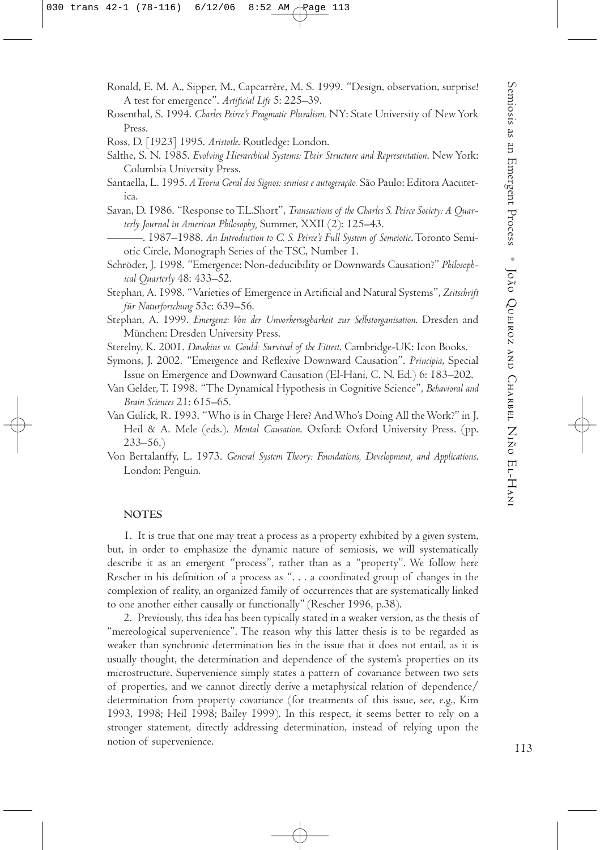- Ronald, E. M. A., Sipper, M., Capcarrère, M. S. 1999. "Design, observation, surprise! A test for emergence". *Artificial Life* 5: 225–39.
- Rosenthal, S. 1994. *Charles Peirce's Pragmatic Pluralism.* NY: State University of New York Press.
- Ross, D. [1923] 1995. *Aristotle*. Routledge: London.
- Salthe, S. N. 1985. *Evolving Hierarchical Systems: Their Structure and Representation*. New York: Columbia University Press.
- Santaella, L. 1995. *A Teoria Geral dos Signos: semiose e autogeração.* São Paulo: Editora Aacutetica.
- Savan, D. 1986. "Response to T.L.Short", *Transactions of the Charles S. Peirce Society: A Quarterly Journal in American Philosophy,* Summer, XXII (2): 125–43.

———. 1987–1988. *An Introduction to C. S. Peirce's Full System of Semeiotic*. Toronto Semiotic Circle, Monograph Series of the TSC, Number 1.

- Schröder, J. 1998. "Emergence: Non-deducibility or Downwards Causation?" *Philosophical Quarterly* 48: 433–52.
- Stephan, A. 1998. "Varieties of Emergence in Artificial and Natural Systems", *Zeitschrift für Naturforschung* 53c: 639–56.
- Stephan, A. 1999. *Emergenz: Von der Unvorhersagbarkeit zur Selbstorganisation*. Dresden and München: Dresden University Press.
- Sterelny, K. 2001. *Dawkins vs. Gould: Survival of the Fittest*. Cambridge-UK: Icon Books.
- Symons, J. 2002. "Emergence and Reflexive Downward Causation". *Principia*, Special Issue on Emergence and Downward Causation (El-Hani, C. N. Ed.) 6: 183–202.
- Van Gelder, T. 1998. "The Dynamical Hypothesis in Cognitive Science", *Behavioral and Brain Sciences* 21: 615–65.
- Van Gulick, R. 1993. "Who is in Charge Here? And Who's Doing All the Work?" in J. Heil & A. Mele (eds.). *Mental Causation*. Oxford: Oxford University Press. (pp.  $233 - 56.$
- Von Bertalanffy, L. 1973. *General System Theory: Foundations, Development, and Applications*. London: Penguin.

#### **NOTES**

1. It is true that one may treat a process as a property exhibited by a given system, but, in order to emphasize the dynamic nature of semiosis, we will systematically describe it as an emergent "process", rather than as a "property". We follow here Rescher in his definition of a process as ". . . a coordinated group of changes in the complexion of reality, an organized family of occurrences that are systematically linked to one another either causally or functionally" (Rescher 1996, p.38).

2. Previously, this idea has been typically stated in a weaker version, as the thesis of "mereological supervenience". The reason why this latter thesis is to be regarded as weaker than synchronic determination lies in the issue that it does not entail, as it is usually thought, the determination and dependence of the system's properties on its microstructure. Supervenience simply states a pattern of covariance between two sets of properties, and we cannot directly derive a metaphysical relation of dependence/ determination from property covariance (for treatments of this issue, see, e.g., Kim 1993, 1998; Heil 1998; Bailey 1999). In this respect, it seems better to rely on a stronger statement, directly addressing determination, instead of relying upon the notion of supervenience.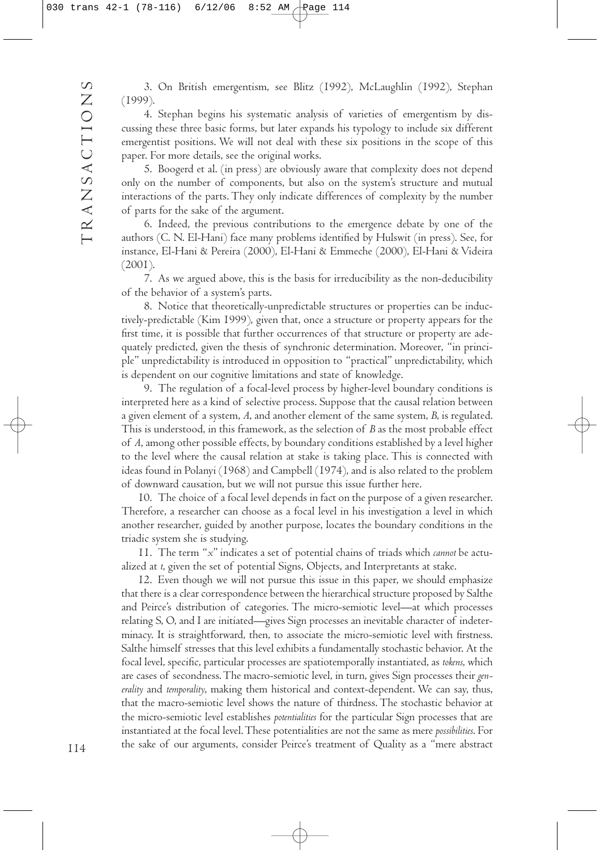3. On British emergentism, see Blitz (1992), McLaughlin (1992), Stephan (1999).

4. Stephan begins his systematic analysis of varieties of emergentism by discussing these three basic forms, but later expands his typology to include six different emergentist positions. We will not deal with these six positions in the scope of this paper. For more details, see the original works.

5. Boogerd et al. (in press) are obviously aware that complexity does not depend only on the number of components, but also on the system's structure and mutual interactions of the parts. They only indicate differences of complexity by the number of parts for the sake of the argument.

6. Indeed, the previous contributions to the emergence debate by one of the authors (C. N. El-Hani) face many problems identified by Hulswit (in press). See, for instance, El-Hani & Pereira (2000), El-Hani & Emmeche (2000), El-Hani & Videira  $(2001).$ 

7. As we argued above, this is the basis for irreducibility as the non-deducibility of the behavior of a system's parts.

8. Notice that theoretically-unpredictable structures or properties can be inductively-predictable (Kim 1999), given that, once a structure or property appears for the first time, it is possible that further occurrences of that structure or property are adequately predicted, given the thesis of synchronic determination. Moreover, "in principle" unpredictability is introduced in opposition to "practical" unpredictability, which is dependent on our cognitive limitations and state of knowledge.

9. The regulation of a focal-level process by higher-level boundary conditions is interpreted here as a kind of selective process. Suppose that the causal relation between a given element of a system, *A*, and another element of the same system, *B*, is regulated. This is understood, in this framework, as the selection of *B* as the most probable effect of *A*, among other possible effects, by boundary conditions established by a level higher to the level where the causal relation at stake is taking place. This is connected with ideas found in Polanyi (1968) and Campbell (1974), and is also related to the problem of downward causation, but we will not pursue this issue further here.

10. The choice of a focal level depends in fact on the purpose of a given researcher. Therefore, a researcher can choose as a focal level in his investigation a level in which another researcher, guided by another purpose, locates the boundary conditions in the triadic system she is studying.

11. The term "*x*" indicates a set of potential chains of triads which *cannot* be actualized at *t*, given the set of potential Signs, Objects, and Interpretants at stake.

12. Even though we will not pursue this issue in this paper, we should emphasize that there is a clear correspondence between the hierarchical structure proposed by Salthe and Peirce's distribution of categories. The micro-semiotic level—at which processes relating S, O, and I are initiated—gives Sign processes an inevitable character of indeterminacy. It is straightforward, then, to associate the micro-semiotic level with firstness. Salthe himself stresses that this level exhibits a fundamentally stochastic behavior. At the focal level, specific, particular processes are spatiotemporally instantiated, as *tokens*, which are cases of secondness. The macro-semiotic level, in turn, gives Sign processes their *generality* and *temporality*, making them historical and context-dependent. We can say, thus, that the macro-semiotic level shows the nature of thirdness. The stochastic behavior at the micro-semiotic level establishes *potentialities* for the particular Sign processes that are instantiated at the focal level. These potentialities are not the same as mere *possibilities*. For the sake of our arguments, consider Peirce's treatment of Quality as a "mere abstract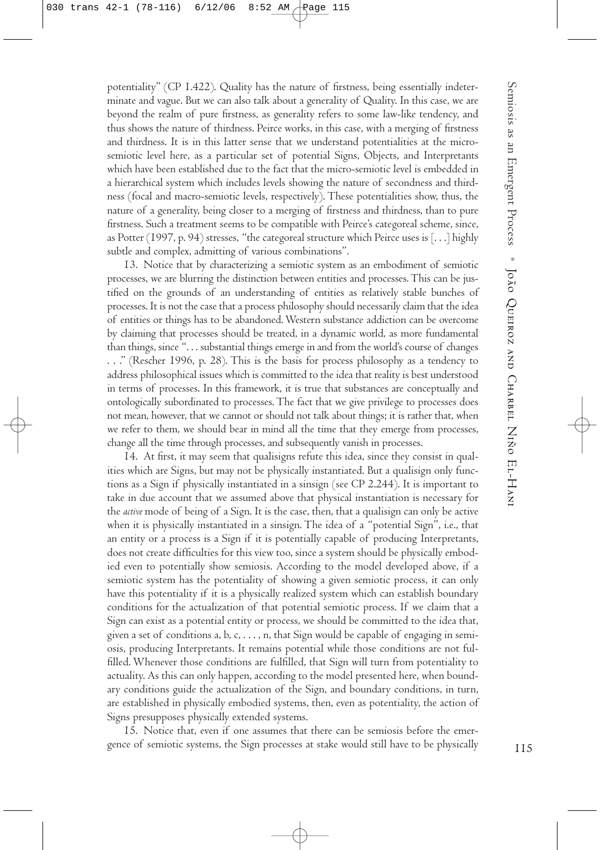potentiality" (CP 1.422). Quality has the nature of firstness, being essentially indeterminate and vague. But we can also talk about a generality of Quality. In this case, we are beyond the realm of pure firstness, as generality refers to some law-like tendency, and thus shows the nature of thirdness. Peirce works, in this case, with a merging of firstness and thirdness. It is in this latter sense that we understand potentialities at the microsemiotic level here, as a particular set of potential Signs, Objects, and Interpretants which have been established due to the fact that the micro-semiotic level is embedded in a hierarchical system which includes levels showing the nature of secondness and thirdness (focal and macro-semiotic levels, respectively). These potentialities show, thus, the nature of a generality, being closer to a merging of firstness and thirdness, than to pure firstness. Such a treatment seems to be compatible with Peirce's categoreal scheme, since, as Potter (1997, p. 94) stresses, "the categoreal structure which Peirce uses is [. . .] highly subtle and complex, admitting of various combinations".

13. Notice that by characterizing a semiotic system as an embodiment of semiotic processes, we are blurring the distinction between entities and processes. This can be justified on the grounds of an understanding of entities as relatively stable bunches of processes. It is not the case that a process philosophy should necessarily claim that the idea of entities or things has to be abandoned. Western substance addiction can be overcome by claiming that processes should be treated, in a dynamic world, as more fundamental than things, since ". . . substantial things emerge in and from the world's course of changes . . ." (Rescher 1996, p. 28). This is the basis for process philosophy as a tendency to address philosophical issues which is committed to the idea that reality is best understood in terms of processes. In this framework, it is true that substances are conceptually and ontologically subordinated to processes. The fact that we give privilege to processes does not mean, however, that we cannot or should not talk about things; it is rather that, when we refer to them, we should bear in mind all the time that they emerge from processes, change all the time through processes, and subsequently vanish in processes.

14. At first, it may seem that qualisigns refute this idea, since they consist in qualities which are Signs, but may not be physically instantiated. But a qualisign only functions as a Sign if physically instantiated in a sinsign (see CP 2.244). It is important to take in due account that we assumed above that physical instantiation is necessary for the *active* mode of being of a Sign. It is the case, then, that a qualisign can only be active when it is physically instantiated in a sinsign. The idea of a "potential Sign", i.e., that an entity or a process is a Sign if it is potentially capable of producing Interpretants, does not create difficulties for this view too, since a system should be physically embodied even to potentially show semiosis. According to the model developed above, if a semiotic system has the potentiality of showing a given semiotic process, it can only have this potentiality if it is a physically realized system which can establish boundary conditions for the actualization of that potential semiotic process. If we claim that a Sign can exist as a potential entity or process, we should be committed to the idea that, given a set of conditions a, b, c, . . . , n, that Sign would be capable of engaging in semiosis, producing Interpretants. It remains potential while those conditions are not fulfilled. Whenever those conditions are fulfilled, that Sign will turn from potentiality to actuality. As this can only happen, according to the model presented here, when boundary conditions guide the actualization of the Sign, and boundary conditions, in turn, are established in physically embodied systems, then, even as potentiality, the action of Signs presupposes physically extended systems.

15. Notice that, even if one assumes that there can be semiosis before the emergence of semiotic systems, the Sign processes at stake would still have to be physically